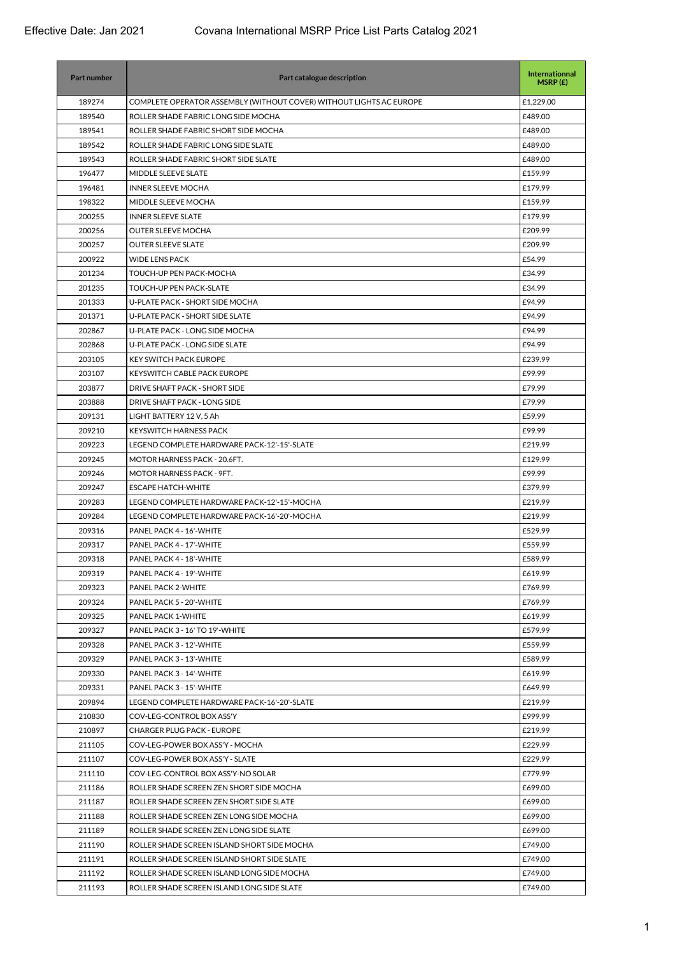| <b>Part number</b> | Part catalogue description                                          | Internationnal<br>MSRP(E) |
|--------------------|---------------------------------------------------------------------|---------------------------|
| 189274             | COMPLETE OPERATOR ASSEMBLY (WITHOUT COVER) WITHOUT LIGHTS AC EUROPE | £1,229.00                 |
| 189540             | ROLLER SHADE FABRIC LONG SIDE MOCHA                                 | £489.00                   |
| 189541             | ROLLER SHADE FABRIC SHORT SIDE MOCHA                                | £489.00                   |
| 189542             | ROLLER SHADE FABRIC LONG SIDE SLATE                                 | £489.00                   |
| 189543             | ROLLER SHADE FABRIC SHORT SIDE SLATE                                | £489.00                   |
| 196477             | MIDDLE SLEEVE SLATE                                                 | £159.99                   |
| 196481             | <b>INNER SLEEVE MOCHA</b>                                           | £179.99                   |
| 198322             | MIDDLE SLEEVE MOCHA                                                 | £159.99                   |
| 200255             | <b>INNER SLEEVE SLATE</b>                                           | £179.99                   |
| 200256             | <b>OUTER SLEEVE MOCHA</b>                                           | £209.99                   |
| 200257             | <b>OUTER SLEEVE SLATE</b>                                           | £209.99                   |
| 200922             | <b>WIDE LENS PACK</b>                                               | £54.99                    |
| 201234             | TOUCH-UP PEN PACK-MOCHA                                             | £34.99                    |
| 201235             | TOUCH-UP PEN PACK-SLATE                                             | £34.99                    |
| 201333             | U-PLATE PACK - SHORT SIDE MOCHA                                     | £94.99                    |
| 201371             | U-PLATE PACK - SHORT SIDE SLATE                                     | £94.99                    |
| 202867             | U-PLATE PACK - LONG SIDE MOCHA                                      | £94.99                    |
| 202868             | U-PLATE PACK - LONG SIDE SLATE                                      | £94.99                    |
| 203105             | <b>KEY SWITCH PACK EUROPE</b>                                       | £239.99                   |
| 203107             | KEYSWITCH CABLE PACK EUROPE                                         | £99.99                    |
| 203877             | DRIVE SHAFT PACK - SHORT SIDE                                       | £79.99                    |
| 203888             | DRIVE SHAFT PACK - LONG SIDE                                        | £79.99                    |
| 209131             | LIGHT BATTERY 12 V, 5 Ah                                            | £59.99                    |
| 209210             | <b>KEYSWITCH HARNESS PACK</b>                                       | £99.99                    |
| 209223             | LEGEND COMPLETE HARDWARE PACK-12'-15'-SLATE                         | £219.99                   |
| 209245             | MOTOR HARNESS PACK - 20.6FT.                                        | £129.99                   |
| 209246             | MOTOR HARNESS PACK - 9FT.                                           | £99.99                    |
| 209247             | <b>ESCAPE HATCH-WHITE</b>                                           | £379.99                   |
| 209283             | LEGEND COMPLETE HARDWARE PACK-12'-15'-MOCHA                         | £219.99                   |
| 209284             | LEGEND COMPLETE HARDWARE PACK-16'-20'-MOCHA                         | £219.99                   |
| 209316             | PANEL PACK 4 - 16'-WHITE                                            | £529.99                   |
| 209317             | PANEL PACK 4 - 17'-WHITE                                            | £559.99                   |
| 209318             | PANEL PACK 4 - 18'-WHITE                                            | £589.99                   |
| 209319             | PANEL PACK 4 - 19'-WHITE                                            | £619.99                   |
| 209323             | PANEL PACK 2-WHITE                                                  | £769.99                   |
| 209324             | PANEL PACK 5 - 20'-WHITE                                            | £769.99                   |
| 209325             | PANEL PACK 1-WHITE                                                  | £619.99                   |
| 209327             | PANEL PACK 3 - 16' TO 19'-WHITE                                     | £579.99                   |
| 209328             | PANEL PACK 3 - 12'-WHITE                                            | £559.99                   |
| 209329             | PANEL PACK 3 - 13'-WHITE                                            | £589.99                   |
| 209330             | PANEL PACK 3 - 14'-WHITE                                            | £619.99                   |
| 209331             | PANEL PACK 3 - 15'-WHITE                                            | £649.99                   |
| 209894             | LEGEND COMPLETE HARDWARE PACK-16'-20'-SLATE                         | £219.99                   |
| 210830             | COV-LEG-CONTROL BOX ASS'Y                                           | £999.99                   |
| 210897             | <b>CHARGER PLUG PACK - EUROPE</b>                                   | £219.99                   |
| 211105             | COV-LEG-POWER BOX ASS'Y - MOCHA                                     | £229.99                   |
| 211107             | COV-LEG-POWER BOX ASS'Y - SLATE                                     | £229.99                   |
| 211110             | COV-LEG-CONTROL BOX ASS'Y-NO SOLAR                                  | £779.99                   |
| 211186             | ROLLER SHADE SCREEN ZEN SHORT SIDE MOCHA                            | £699.00                   |
| 211187             | ROLLER SHADE SCREEN ZEN SHORT SIDE SLATE                            | £699.00                   |
| 211188             | ROLLER SHADE SCREEN ZEN LONG SIDE MOCHA                             | £699.00                   |
| 211189             | ROLLER SHADE SCREEN ZEN LONG SIDE SLATE                             | £699.00                   |
| 211190             | ROLLER SHADE SCREEN ISLAND SHORT SIDE MOCHA                         | £749.00                   |
| 211191             | ROLLER SHADE SCREEN ISLAND SHORT SIDE SLATE                         | £749.00                   |
| 211192             | ROLLER SHADE SCREEN ISLAND LONG SIDE MOCHA                          | £749.00                   |
| 211193             | ROLLER SHADE SCREEN ISLAND LONG SIDE SLATE                          | £749.00                   |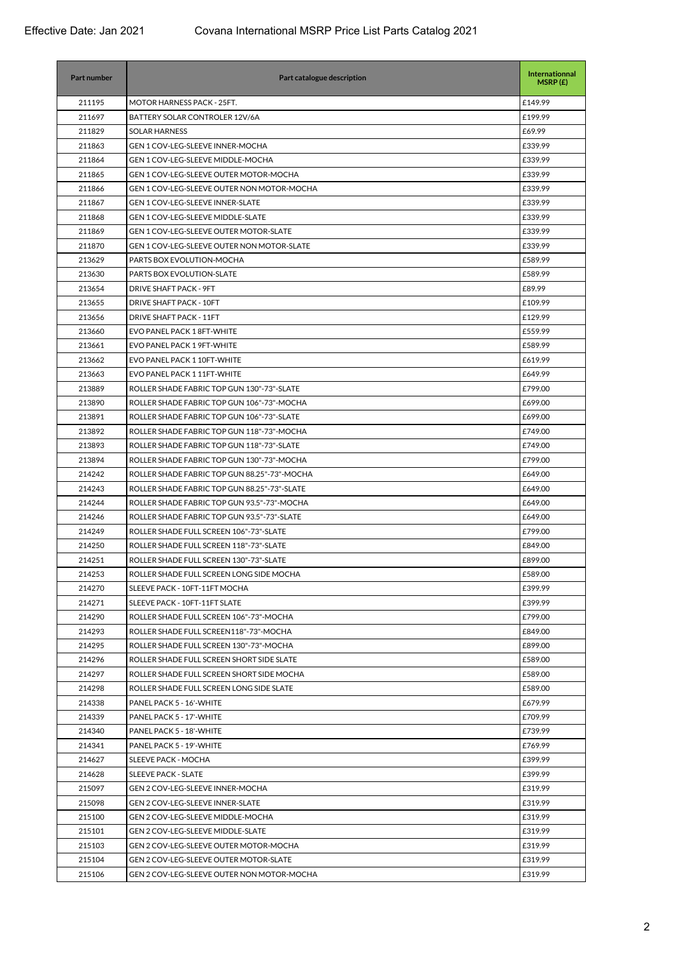| 211195<br>MOTOR HARNESS PACK - 25FT.<br>£149.99<br>211697<br>BATTERY SOLAR CONTROLER 12V/6A<br>£199.99<br>211829<br><b>SOLAR HARNESS</b><br>£69.99<br><b>GEN 1 COV-LEG-SLEEVE INNER-MOCHA</b><br>211863<br>£339.99<br>211864<br>GEN 1 COV-LEG-SLEEVE MIDDLE-MOCHA<br>£339.99<br>211865<br><b>GEN 1 COV-LEG-SLEEVE OUTER MOTOR-MOCHA</b><br>£339.99<br>211866<br><b>GEN 1 COV-LEG-SLEEVE OUTER NON MOTOR-MOCHA</b><br>£339.99<br>211867<br>£339.99<br><b>GEN 1 COV-LEG-SLEEVE INNER-SLATE</b><br>211868<br><b>GEN 1 COV-LEG-SLEEVE MIDDLE-SLATE</b><br>£339.99<br>211869<br><b>GEN 1 COV-LEG-SLEEVE OUTER MOTOR-SLATE</b><br>£339.99<br>211870<br><b>GEN 1 COV-LEG-SLEEVE OUTER NON MOTOR-SLATE</b><br>£339.99<br>213629<br>PARTS BOX EVOLUTION-MOCHA<br>£589.99<br>213630<br>PARTS BOX EVOLUTION-SLATE<br>£589.99<br>213654<br><b>DRIVE SHAFT PACK - 9FT</b><br>£89.99<br>213655<br>DRIVE SHAFT PACK - 10FT<br>£109.99<br>213656<br>DRIVE SHAFT PACK - 11FT<br>£129.99<br>213660<br>EVO PANEL PACK 18FT-WHITE<br>£559.99<br>£589.99<br>213661<br>EVO PANEL PACK 1 9FT-WHITE<br>213662<br>EVO PANEL PACK 1 10FT-WHITE<br>£619.99<br>213663<br>EVO PANEL PACK 111FT-WHITE<br>£649.99<br>213889<br>ROLLER SHADE FABRIC TOP GUN 130"-73"-SLATE<br>£799.00<br>213890<br>ROLLER SHADE FABRIC TOP GUN 106"-73"-MOCHA<br>£699.00<br>213891<br>ROLLER SHADE FABRIC TOP GUN 106"-73"-SLATE<br>£699.00<br>213892<br>ROLLER SHADE FABRIC TOP GUN 118"-73"-MOCHA<br>£749.00<br>213893<br>ROLLER SHADE FABRIC TOP GUN 118"-73"-SLATE<br>£749.00 |
|-----------------------------------------------------------------------------------------------------------------------------------------------------------------------------------------------------------------------------------------------------------------------------------------------------------------------------------------------------------------------------------------------------------------------------------------------------------------------------------------------------------------------------------------------------------------------------------------------------------------------------------------------------------------------------------------------------------------------------------------------------------------------------------------------------------------------------------------------------------------------------------------------------------------------------------------------------------------------------------------------------------------------------------------------------------------------------------------------------------------------------------------------------------------------------------------------------------------------------------------------------------------------------------------------------------------------------------------------------------------------------------------------------------------------------------------------------------------------------------------------------------------------------------|
|                                                                                                                                                                                                                                                                                                                                                                                                                                                                                                                                                                                                                                                                                                                                                                                                                                                                                                                                                                                                                                                                                                                                                                                                                                                                                                                                                                                                                                                                                                                                   |
|                                                                                                                                                                                                                                                                                                                                                                                                                                                                                                                                                                                                                                                                                                                                                                                                                                                                                                                                                                                                                                                                                                                                                                                                                                                                                                                                                                                                                                                                                                                                   |
|                                                                                                                                                                                                                                                                                                                                                                                                                                                                                                                                                                                                                                                                                                                                                                                                                                                                                                                                                                                                                                                                                                                                                                                                                                                                                                                                                                                                                                                                                                                                   |
|                                                                                                                                                                                                                                                                                                                                                                                                                                                                                                                                                                                                                                                                                                                                                                                                                                                                                                                                                                                                                                                                                                                                                                                                                                                                                                                                                                                                                                                                                                                                   |
|                                                                                                                                                                                                                                                                                                                                                                                                                                                                                                                                                                                                                                                                                                                                                                                                                                                                                                                                                                                                                                                                                                                                                                                                                                                                                                                                                                                                                                                                                                                                   |
|                                                                                                                                                                                                                                                                                                                                                                                                                                                                                                                                                                                                                                                                                                                                                                                                                                                                                                                                                                                                                                                                                                                                                                                                                                                                                                                                                                                                                                                                                                                                   |
|                                                                                                                                                                                                                                                                                                                                                                                                                                                                                                                                                                                                                                                                                                                                                                                                                                                                                                                                                                                                                                                                                                                                                                                                                                                                                                                                                                                                                                                                                                                                   |
|                                                                                                                                                                                                                                                                                                                                                                                                                                                                                                                                                                                                                                                                                                                                                                                                                                                                                                                                                                                                                                                                                                                                                                                                                                                                                                                                                                                                                                                                                                                                   |
|                                                                                                                                                                                                                                                                                                                                                                                                                                                                                                                                                                                                                                                                                                                                                                                                                                                                                                                                                                                                                                                                                                                                                                                                                                                                                                                                                                                                                                                                                                                                   |
|                                                                                                                                                                                                                                                                                                                                                                                                                                                                                                                                                                                                                                                                                                                                                                                                                                                                                                                                                                                                                                                                                                                                                                                                                                                                                                                                                                                                                                                                                                                                   |
|                                                                                                                                                                                                                                                                                                                                                                                                                                                                                                                                                                                                                                                                                                                                                                                                                                                                                                                                                                                                                                                                                                                                                                                                                                                                                                                                                                                                                                                                                                                                   |
|                                                                                                                                                                                                                                                                                                                                                                                                                                                                                                                                                                                                                                                                                                                                                                                                                                                                                                                                                                                                                                                                                                                                                                                                                                                                                                                                                                                                                                                                                                                                   |
|                                                                                                                                                                                                                                                                                                                                                                                                                                                                                                                                                                                                                                                                                                                                                                                                                                                                                                                                                                                                                                                                                                                                                                                                                                                                                                                                                                                                                                                                                                                                   |
|                                                                                                                                                                                                                                                                                                                                                                                                                                                                                                                                                                                                                                                                                                                                                                                                                                                                                                                                                                                                                                                                                                                                                                                                                                                                                                                                                                                                                                                                                                                                   |
|                                                                                                                                                                                                                                                                                                                                                                                                                                                                                                                                                                                                                                                                                                                                                                                                                                                                                                                                                                                                                                                                                                                                                                                                                                                                                                                                                                                                                                                                                                                                   |
|                                                                                                                                                                                                                                                                                                                                                                                                                                                                                                                                                                                                                                                                                                                                                                                                                                                                                                                                                                                                                                                                                                                                                                                                                                                                                                                                                                                                                                                                                                                                   |
|                                                                                                                                                                                                                                                                                                                                                                                                                                                                                                                                                                                                                                                                                                                                                                                                                                                                                                                                                                                                                                                                                                                                                                                                                                                                                                                                                                                                                                                                                                                                   |
|                                                                                                                                                                                                                                                                                                                                                                                                                                                                                                                                                                                                                                                                                                                                                                                                                                                                                                                                                                                                                                                                                                                                                                                                                                                                                                                                                                                                                                                                                                                                   |
|                                                                                                                                                                                                                                                                                                                                                                                                                                                                                                                                                                                                                                                                                                                                                                                                                                                                                                                                                                                                                                                                                                                                                                                                                                                                                                                                                                                                                                                                                                                                   |
|                                                                                                                                                                                                                                                                                                                                                                                                                                                                                                                                                                                                                                                                                                                                                                                                                                                                                                                                                                                                                                                                                                                                                                                                                                                                                                                                                                                                                                                                                                                                   |
|                                                                                                                                                                                                                                                                                                                                                                                                                                                                                                                                                                                                                                                                                                                                                                                                                                                                                                                                                                                                                                                                                                                                                                                                                                                                                                                                                                                                                                                                                                                                   |
|                                                                                                                                                                                                                                                                                                                                                                                                                                                                                                                                                                                                                                                                                                                                                                                                                                                                                                                                                                                                                                                                                                                                                                                                                                                                                                                                                                                                                                                                                                                                   |
|                                                                                                                                                                                                                                                                                                                                                                                                                                                                                                                                                                                                                                                                                                                                                                                                                                                                                                                                                                                                                                                                                                                                                                                                                                                                                                                                                                                                                                                                                                                                   |
|                                                                                                                                                                                                                                                                                                                                                                                                                                                                                                                                                                                                                                                                                                                                                                                                                                                                                                                                                                                                                                                                                                                                                                                                                                                                                                                                                                                                                                                                                                                                   |
|                                                                                                                                                                                                                                                                                                                                                                                                                                                                                                                                                                                                                                                                                                                                                                                                                                                                                                                                                                                                                                                                                                                                                                                                                                                                                                                                                                                                                                                                                                                                   |
| 213894<br>ROLLER SHADE FABRIC TOP GUN 130"-73"-MOCHA<br>£799.00                                                                                                                                                                                                                                                                                                                                                                                                                                                                                                                                                                                                                                                                                                                                                                                                                                                                                                                                                                                                                                                                                                                                                                                                                                                                                                                                                                                                                                                                   |
| 214242<br>ROLLER SHADE FABRIC TOP GUN 88.25"-73"-MOCHA<br>£649.00                                                                                                                                                                                                                                                                                                                                                                                                                                                                                                                                                                                                                                                                                                                                                                                                                                                                                                                                                                                                                                                                                                                                                                                                                                                                                                                                                                                                                                                                 |
| 214243<br>ROLLER SHADE FABRIC TOP GUN 88.25"-73"-SLATE<br>£649.00                                                                                                                                                                                                                                                                                                                                                                                                                                                                                                                                                                                                                                                                                                                                                                                                                                                                                                                                                                                                                                                                                                                                                                                                                                                                                                                                                                                                                                                                 |
| 214244<br>£649.00<br>ROLLER SHADE FABRIC TOP GUN 93.5"-73"-MOCHA                                                                                                                                                                                                                                                                                                                                                                                                                                                                                                                                                                                                                                                                                                                                                                                                                                                                                                                                                                                                                                                                                                                                                                                                                                                                                                                                                                                                                                                                  |
| 214246<br>ROLLER SHADE FABRIC TOP GUN 93.5"-73"-SLATE<br>£649.00                                                                                                                                                                                                                                                                                                                                                                                                                                                                                                                                                                                                                                                                                                                                                                                                                                                                                                                                                                                                                                                                                                                                                                                                                                                                                                                                                                                                                                                                  |
| 214249<br>£799.00<br>ROLLER SHADE FULL SCREEN 106"-73"-SLATE                                                                                                                                                                                                                                                                                                                                                                                                                                                                                                                                                                                                                                                                                                                                                                                                                                                                                                                                                                                                                                                                                                                                                                                                                                                                                                                                                                                                                                                                      |
| 214250<br>ROLLER SHADE FULL SCREEN 118"-73"-SLATE<br>£849.00                                                                                                                                                                                                                                                                                                                                                                                                                                                                                                                                                                                                                                                                                                                                                                                                                                                                                                                                                                                                                                                                                                                                                                                                                                                                                                                                                                                                                                                                      |
| 214251<br>ROLLER SHADE FULL SCREEN 130"-73"-SLATE<br>£899.00                                                                                                                                                                                                                                                                                                                                                                                                                                                                                                                                                                                                                                                                                                                                                                                                                                                                                                                                                                                                                                                                                                                                                                                                                                                                                                                                                                                                                                                                      |
| ROLLER SHADE FULL SCREEN LONG SIDE MOCHA<br>£589.00<br>214253                                                                                                                                                                                                                                                                                                                                                                                                                                                                                                                                                                                                                                                                                                                                                                                                                                                                                                                                                                                                                                                                                                                                                                                                                                                                                                                                                                                                                                                                     |
| 214270<br>£399.99<br>SLEEVE PACK - 10FT-11FT MOCHA                                                                                                                                                                                                                                                                                                                                                                                                                                                                                                                                                                                                                                                                                                                                                                                                                                                                                                                                                                                                                                                                                                                                                                                                                                                                                                                                                                                                                                                                                |
| SLEEVE PACK - 10FT-11FT SLATE<br>214271<br>£399.99                                                                                                                                                                                                                                                                                                                                                                                                                                                                                                                                                                                                                                                                                                                                                                                                                                                                                                                                                                                                                                                                                                                                                                                                                                                                                                                                                                                                                                                                                |
| 214290<br>ROLLER SHADE FULL SCREEN 106"-73"-MOCHA<br>£799.00                                                                                                                                                                                                                                                                                                                                                                                                                                                                                                                                                                                                                                                                                                                                                                                                                                                                                                                                                                                                                                                                                                                                                                                                                                                                                                                                                                                                                                                                      |
| 214293<br>ROLLER SHADE FULL SCREEN118"-73"-MOCHA<br>£849.00                                                                                                                                                                                                                                                                                                                                                                                                                                                                                                                                                                                                                                                                                                                                                                                                                                                                                                                                                                                                                                                                                                                                                                                                                                                                                                                                                                                                                                                                       |
| 214295<br>ROLLER SHADE FULL SCREEN 130"-73"-MOCHA<br>£899.00                                                                                                                                                                                                                                                                                                                                                                                                                                                                                                                                                                                                                                                                                                                                                                                                                                                                                                                                                                                                                                                                                                                                                                                                                                                                                                                                                                                                                                                                      |
| 214296<br>ROLLER SHADE FULL SCREEN SHORT SIDE SLATE<br>£589.00                                                                                                                                                                                                                                                                                                                                                                                                                                                                                                                                                                                                                                                                                                                                                                                                                                                                                                                                                                                                                                                                                                                                                                                                                                                                                                                                                                                                                                                                    |
| ROLLER SHADE FULL SCREEN SHORT SIDE MOCHA<br>214297<br>£589.00                                                                                                                                                                                                                                                                                                                                                                                                                                                                                                                                                                                                                                                                                                                                                                                                                                                                                                                                                                                                                                                                                                                                                                                                                                                                                                                                                                                                                                                                    |
| 214298<br>ROLLER SHADE FULL SCREEN LONG SIDE SLATE<br>£589.00                                                                                                                                                                                                                                                                                                                                                                                                                                                                                                                                                                                                                                                                                                                                                                                                                                                                                                                                                                                                                                                                                                                                                                                                                                                                                                                                                                                                                                                                     |
| 214338<br>PANEL PACK 5 - 16'-WHITE<br>£679.99                                                                                                                                                                                                                                                                                                                                                                                                                                                                                                                                                                                                                                                                                                                                                                                                                                                                                                                                                                                                                                                                                                                                                                                                                                                                                                                                                                                                                                                                                     |
| 214339<br>PANEL PACK 5 - 17'-WHITE<br>£709.99                                                                                                                                                                                                                                                                                                                                                                                                                                                                                                                                                                                                                                                                                                                                                                                                                                                                                                                                                                                                                                                                                                                                                                                                                                                                                                                                                                                                                                                                                     |
| 214340<br>PANEL PACK 5 - 18'-WHITE<br>£739.99                                                                                                                                                                                                                                                                                                                                                                                                                                                                                                                                                                                                                                                                                                                                                                                                                                                                                                                                                                                                                                                                                                                                                                                                                                                                                                                                                                                                                                                                                     |
| 214341<br>PANEL PACK 5 - 19'-WHITE<br>£769.99                                                                                                                                                                                                                                                                                                                                                                                                                                                                                                                                                                                                                                                                                                                                                                                                                                                                                                                                                                                                                                                                                                                                                                                                                                                                                                                                                                                                                                                                                     |
| 214627<br>SLEEVE PACK - MOCHA<br>£399.99                                                                                                                                                                                                                                                                                                                                                                                                                                                                                                                                                                                                                                                                                                                                                                                                                                                                                                                                                                                                                                                                                                                                                                                                                                                                                                                                                                                                                                                                                          |
| 214628<br><b>SLEEVE PACK - SLATE</b><br>£399.99                                                                                                                                                                                                                                                                                                                                                                                                                                                                                                                                                                                                                                                                                                                                                                                                                                                                                                                                                                                                                                                                                                                                                                                                                                                                                                                                                                                                                                                                                   |
| 215097<br>GEN 2 COV-LEG-SLEEVE INNER-MOCHA<br>£319.99                                                                                                                                                                                                                                                                                                                                                                                                                                                                                                                                                                                                                                                                                                                                                                                                                                                                                                                                                                                                                                                                                                                                                                                                                                                                                                                                                                                                                                                                             |
| 215098<br><b>GEN 2 COV-LEG-SLEEVE INNER-SLATE</b><br>£319.99                                                                                                                                                                                                                                                                                                                                                                                                                                                                                                                                                                                                                                                                                                                                                                                                                                                                                                                                                                                                                                                                                                                                                                                                                                                                                                                                                                                                                                                                      |
| 215100<br>GEN 2 COV-LEG-SLEEVE MIDDLE-MOCHA<br>£319.99                                                                                                                                                                                                                                                                                                                                                                                                                                                                                                                                                                                                                                                                                                                                                                                                                                                                                                                                                                                                                                                                                                                                                                                                                                                                                                                                                                                                                                                                            |
| 215101<br>GEN 2 COV-LEG-SLEEVE MIDDLE-SLATE<br>£319.99                                                                                                                                                                                                                                                                                                                                                                                                                                                                                                                                                                                                                                                                                                                                                                                                                                                                                                                                                                                                                                                                                                                                                                                                                                                                                                                                                                                                                                                                            |
| 215103<br>GEN 2 COV-LEG-SLEEVE OUTER MOTOR-MOCHA<br>£319.99                                                                                                                                                                                                                                                                                                                                                                                                                                                                                                                                                                                                                                                                                                                                                                                                                                                                                                                                                                                                                                                                                                                                                                                                                                                                                                                                                                                                                                                                       |
| 215104<br>GEN 2 COV-LEG-SLEEVE OUTER MOTOR-SLATE<br>£319.99                                                                                                                                                                                                                                                                                                                                                                                                                                                                                                                                                                                                                                                                                                                                                                                                                                                                                                                                                                                                                                                                                                                                                                                                                                                                                                                                                                                                                                                                       |
| 215106<br>GEN 2 COV-LEG-SLEEVE OUTER NON MOTOR-MOCHA<br>£319.99                                                                                                                                                                                                                                                                                                                                                                                                                                                                                                                                                                                                                                                                                                                                                                                                                                                                                                                                                                                                                                                                                                                                                                                                                                                                                                                                                                                                                                                                   |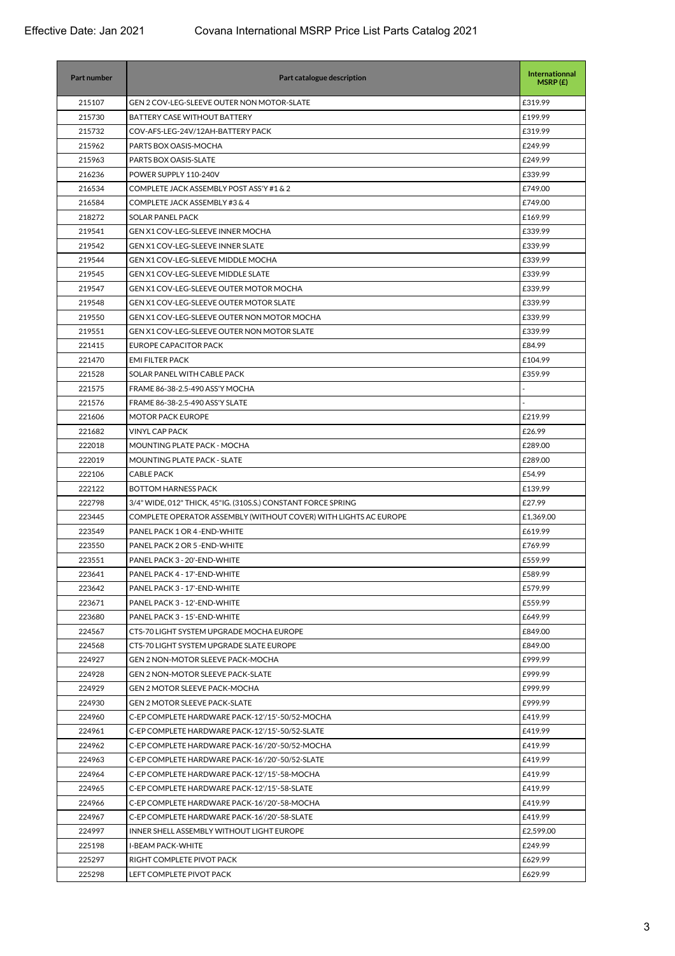| Part number | Part catalogue description                                       | Internationnal<br>MSRP(E) |
|-------------|------------------------------------------------------------------|---------------------------|
| 215107      | GEN 2 COV-LEG-SLEEVE OUTER NON MOTOR-SLATE                       | £319.99                   |
| 215730      | BATTERY CASE WITHOUT BATTERY                                     | £199.99                   |
| 215732      | COV-AFS-LEG-24V/12AH-BATTERY PACK                                | £319.99                   |
| 215962      | PARTS BOX OASIS-MOCHA                                            | £249.99                   |
| 215963      | PARTS BOX OASIS-SLATE                                            | £249.99                   |
| 216236      | POWER SUPPLY 110-240V                                            | £339.99                   |
| 216534      | COMPLETE JACK ASSEMBLY POST ASS'Y #1 & 2                         | £749.00                   |
| 216584      | COMPLETE JACK ASSEMBLY #3 & 4                                    | £749.00                   |
| 218272      | <b>SOLAR PANEL PACK</b>                                          | £169.99                   |
| 219541      | GEN X1 COV-LEG-SLEEVE INNER MOCHA                                | £339.99                   |
| 219542      | <b>GEN X1 COV-LEG-SLEEVE INNER SLATE</b>                         | £339.99                   |
| 219544      | <b>GEN X1 COV-LEG-SLEEVE MIDDLE MOCHA</b>                        | £339.99                   |
| 219545      | <b>GEN X1 COV-LEG-SLEEVE MIDDLE SLATE</b>                        | £339.99                   |
| 219547      | <b>GEN X1 COV-LEG-SLEEVE OUTER MOTOR MOCHA</b>                   | £339.99                   |
| 219548      | <b>GEN X1 COV-LEG-SLEEVE OUTER MOTOR SLATE</b>                   | £339.99                   |
| 219550      | <b>GEN X1 COV-LEG-SLEEVE OUTER NON MOTOR MOCHA</b>               | £339.99                   |
| 219551      | GEN X1 COV-LEG-SLEEVE OUTER NON MOTOR SLATE                      | £339.99                   |
| 221415      | EUROPE CAPACITOR PACK                                            | £84.99                    |
| 221470      | <b>EMI FILTER PACK</b>                                           | £104.99                   |
| 221528      | SOLAR PANEL WITH CABLE PACK                                      | £359.99                   |
| 221575      | FRAME 86-38-2.5-490 ASS'Y MOCHA                                  |                           |
| 221576      | FRAME 86-38-2.5-490 ASS'Y SLATE                                  |                           |
| 221606      | <b>MOTOR PACK EUROPE</b>                                         | £219.99                   |
| 221682      | <b>VINYL CAP PACK</b>                                            | £26.99                    |
| 222018      | MOUNTING PLATE PACK - MOCHA                                      | £289.00                   |
| 222019      | MOUNTING PLATE PACK - SLATE                                      | £289.00                   |
| 222106      | <b>CABLE PACK</b>                                                | £54.99                    |
| 222122      | <b>BOTTOM HARNESS PACK</b>                                       | £139.99                   |
| 222798      | 3/4" WIDE, 012" THICK, 45" IG, (310S.S.) CONSTANT FORCE SPRING   | £27.99                    |
| 223445      | COMPLETE OPERATOR ASSEMBLY (WITHOUT COVER) WITH LIGHTS AC EUROPE | £1,369.00                 |
| 223549      | PANEL PACK 1 OR 4 - END-WHITE                                    | £619.99                   |
| 223550      | PANEL PACK 2 OR 5 - END-WHITE                                    | £769.99                   |
| 223551      | PANEL PACK 3 - 20'-END-WHITE                                     | £559.99                   |
| 223641      | PANEL PACK 4 - 17'-END-WHITE                                     | £589.99                   |
| 223642      | PANEL PACK 3 - 17'-END-WHITE                                     | £579.99                   |
| 223671      | PANEL PACK 3 - 12'-END-WHITE                                     | £559.99                   |
| 223680      | PANEL PACK 3 - 15'-END-WHITE                                     | £649.99                   |
| 224567      | CTS-70 LIGHT SYSTEM UPGRADE MOCHA EUROPE                         | £849.00                   |
| 224568      | CTS-70 LIGHT SYSTEM UPGRADE SLATE EUROPE                         | £849.00                   |
| 224927      | <b>GEN 2 NON-MOTOR SLEEVE PACK-MOCHA</b>                         | £999.99                   |
| 224928      | <b>GEN 2 NON-MOTOR SLEEVE PACK-SLATE</b>                         | £999.99                   |
| 224929      | <b>GEN 2 MOTOR SLEEVE PACK-MOCHA</b>                             | £999.99                   |
| 224930      | <b>GEN 2 MOTOR SLEEVE PACK-SLATE</b>                             | £999.99                   |
| 224960      | C-EP COMPLETE HARDWARE PACK-12'/15'-50/52-MOCHA                  | £419.99                   |
| 224961      | C-EP COMPLETE HARDWARE PACK-12'/15'-50/52-SLATE                  | £419.99                   |
| 224962      | C-EP COMPLETE HARDWARE PACK-16'/20'-50/52-MOCHA                  | £419.99                   |
| 224963      | C-EP COMPLETE HARDWARE PACK-16'/20'-50/52-SLATE                  | £419.99                   |
| 224964      | C-EP COMPLETE HARDWARE PACK-12'/15'-58-MOCHA                     | £419.99                   |
| 224965      | C-EP COMPLETE HARDWARE PACK-12'/15'-58-SLATE                     | £419.99                   |
| 224966      | C-EP COMPLETE HARDWARE PACK-16'/20'-58-MOCHA                     | £419.99                   |
| 224967      | C-EP COMPLETE HARDWARE PACK-16'/20'-58-SLATE                     | £419.99                   |
| 224997      | INNER SHELL ASSEMBLY WITHOUT LIGHT EUROPE                        | £2,599.00                 |
| 225198      | <b>I-BEAM PACK-WHITE</b>                                         | £249.99                   |
| 225297      | RIGHT COMPLETE PIVOT PACK                                        | £629.99                   |
| 225298      | LEFT COMPLETE PIVOT PACK                                         | £629.99                   |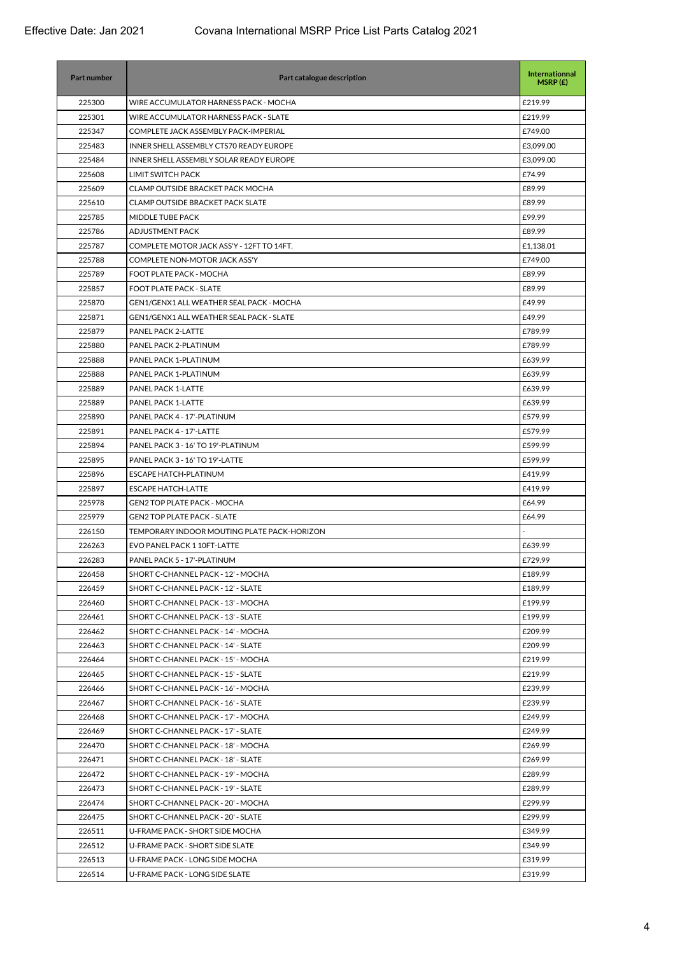| Part number | Part catalogue description                      | Internationnal<br>MSRP(E) |
|-------------|-------------------------------------------------|---------------------------|
| 225300      | WIRE ACCUMULATOR HARNESS PACK - MOCHA           | £219.99                   |
| 225301      | WIRE ACCUMULATOR HARNESS PACK - SLATE           | £219.99                   |
| 225347      | COMPLETE JACK ASSEMBLY PACK-IMPERIAL            | £749.00                   |
| 225483      | INNER SHELL ASSEMBLY CTS70 READY EUROPE         | £3,099.00                 |
| 225484      | INNER SHELL ASSEMBLY SOLAR READY EUROPE         | £3,099.00                 |
| 225608      | LIMIT SWITCH PACK                               | £74.99                    |
| 225609      | CLAMP OUTSIDE BRACKET PACK MOCHA                | £89.99                    |
| 225610      | <b>CLAMP OUTSIDE BRACKET PACK SLATE</b>         | £89.99                    |
| 225785      | MIDDLE TUBE PACK                                | £99.99                    |
| 225786      | ADJUSTMENT PACK                                 | £89.99                    |
| 225787      | COMPLETE MOTOR JACK ASS'Y - 12FT TO 14FT.       | £1,138.01                 |
| 225788      | COMPLETE NON-MOTOR JACK ASS'Y                   | £749.00                   |
| 225789      | FOOT PLATE PACK - MOCHA                         | £89.99                    |
| 225857      | <b>FOOT PLATE PACK - SLATE</b>                  | £89.99                    |
| 225870      | <b>GEN1/GENX1 ALL WEATHER SEAL PACK - MOCHA</b> | £49.99                    |
| 225871      | <b>GEN1/GENX1 ALL WEATHER SEAL PACK - SLATE</b> | £49.99                    |
| 225879      | PANEL PACK 2-LATTE                              | £789.99                   |
| 225880      | PANEL PACK 2-PLATINUM                           | £789.99                   |
| 225888      | PANEL PACK 1-PLATINUM                           | £639.99                   |
| 225888      | PANEL PACK 1-PLATINUM                           | £639.99                   |
| 225889      | PANEL PACK 1-LATTE                              | £639.99                   |
| 225889      | PANEL PACK 1-LATTE                              | £639.99                   |
| 225890      | PANEL PACK 4 - 17'-PLATINUM                     | £579.99                   |
| 225891      | PANEL PACK 4 - 17'-LATTE                        | £579.99                   |
| 225894      | PANEL PACK 3 - 16' TO 19'-PLATINUM              | £599.99                   |
| 225895      | PANEL PACK 3 - 16' TO 19'-LATTE                 | £599.99                   |
| 225896      | <b>ESCAPE HATCH-PLATINUM</b>                    | £419.99                   |
| 225897      | <b>ESCAPE HATCH-LATTE</b>                       | £419.99                   |
| 225978      | <b>GEN2 TOP PLATE PACK - MOCHA</b>              | £64.99                    |
| 225979      | <b>GEN2 TOP PLATE PACK - SLATE</b>              | £64.99                    |
| 226150      | TEMPORARY INDOOR MOUTING PLATE PACK-HORIZON     |                           |
| 226263      | EVO PANEL PACK 1 10FT-LATTE                     | £639.99                   |
| 226283      | PANEL PACK 5 - 17'-PLATINUM                     | £729.99                   |
| 226458      | SHORT C-CHANNEL PACK - 12' - MOCHA              | £189.99                   |
| 226459      | SHORT C-CHANNEL PACK - 12' - SLATE              | £189.99                   |
| 226460      | SHORT C-CHANNEL PACK - 13' - MOCHA              | £199.99                   |
| 226461      | SHORT C-CHANNEL PACK - 13' - SLATE              | £199.99                   |
| 226462      | SHORT C-CHANNEL PACK - 14' - MOCHA              | £209.99                   |
| 226463      | SHORT C-CHANNEL PACK - 14' - SLATE              | £209.99                   |
| 226464      | SHORT C-CHANNEL PACK - 15' - MOCHA              | £219.99                   |
| 226465      | SHORT C-CHANNEL PACK - 15' - SLATE              | £219.99                   |
| 226466      | SHORT C-CHANNEL PACK - 16' - MOCHA              | £239.99                   |
| 226467      | SHORT C-CHANNEL PACK - 16' - SLATE              | £239.99                   |
| 226468      | SHORT C-CHANNEL PACK - 17' - MOCHA              | £249.99                   |
| 226469      | SHORT C-CHANNEL PACK - 17' - SLATE              | £249.99                   |
| 226470      | SHORT C-CHANNEL PACK - 18' - MOCHA              | £269.99                   |
| 226471      | SHORT C-CHANNEL PACK - 18' - SLATE              | £269.99                   |
| 226472      | SHORT C-CHANNEL PACK - 19' - MOCHA              | £289.99                   |
| 226473      | SHORT C-CHANNEL PACK - 19' - SLATE              | £289.99                   |
| 226474      | SHORT C-CHANNEL PACK - 20' - MOCHA              | £299.99                   |
| 226475      | SHORT C-CHANNEL PACK - 20' - SLATE              | £299.99                   |
| 226511      | U-FRAME PACK - SHORT SIDE MOCHA                 | £349.99                   |
| 226512      | U-FRAME PACK - SHORT SIDE SLATE                 | £349.99                   |
| 226513      | U-FRAME PACK - LONG SIDE MOCHA                  | £319.99                   |
| 226514      | U-FRAME PACK - LONG SIDE SLATE                  | £319.99                   |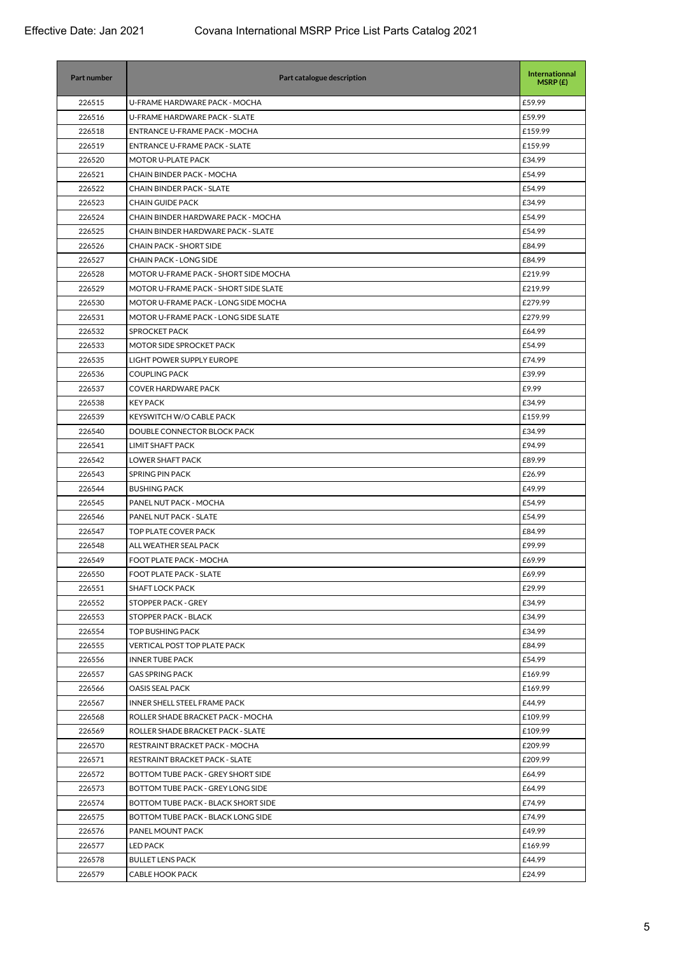| <b>Part number</b> | Part catalogue description            | Internationnal<br>MSRP(E) |
|--------------------|---------------------------------------|---------------------------|
| 226515             | U-FRAME HARDWARE PACK - MOCHA         | £59.99                    |
| 226516             | U-FRAME HARDWARE PACK - SLATE         | £59.99                    |
| 226518             | ENTRANCE U-FRAME PACK - MOCHA         | £159.99                   |
| 226519             | <b>ENTRANCE U-FRAME PACK - SLATE</b>  | £159.99                   |
| 226520             | MOTOR U-PLATE PACK                    | £34.99                    |
| 226521             | CHAIN BINDER PACK - MOCHA             | £54.99                    |
| 226522             | <b>CHAIN BINDER PACK - SLATE</b>      | £54.99                    |
| 226523             | <b>CHAIN GUIDE PACK</b>               | £34.99                    |
| 226524             | CHAIN BINDER HARDWARE PACK - MOCHA    | £54.99                    |
| 226525             | CHAIN BINDER HARDWARE PACK - SLATE    | £54.99                    |
| 226526             | <b>CHAIN PACK - SHORT SIDE</b>        | £84.99                    |
| 226527             | <b>CHAIN PACK - LONG SIDE</b>         | £84.99                    |
| 226528             | MOTOR U-FRAME PACK - SHORT SIDE MOCHA | £219.99                   |
| 226529             | MOTOR U-FRAME PACK - SHORT SIDE SLATE | £219.99                   |
| 226530             | MOTOR U-FRAME PACK - LONG SIDE MOCHA  | £279.99                   |
| 226531             | MOTOR U-FRAME PACK - LONG SIDE SLATE  | £279.99                   |
| 226532             | <b>SPROCKET PACK</b>                  | £64.99                    |
| 226533             | MOTOR SIDE SPROCKET PACK              | £54.99                    |
| 226535             | LIGHT POWER SUPPLY EUROPE             | £74.99                    |
| 226536             | <b>COUPLING PACK</b>                  | £39.99                    |
| 226537             | <b>COVER HARDWARE PACK</b>            | £9.99                     |
| 226538             | <b>KEY PACK</b>                       | £34.99                    |
| 226539             | KEYSWITCH W/O CABLE PACK              | £159.99                   |
| 226540             | DOUBLE CONNECTOR BLOCK PACK           | £34.99                    |
| 226541             | <b>LIMIT SHAFT PACK</b>               | £94.99                    |
| 226542             | LOWER SHAFT PACK                      | £89.99                    |
| 226543             | <b>SPRING PIN PACK</b>                | £26.99                    |
| 226544             | <b>BUSHING PACK</b>                   | £49.99                    |
| 226545             | PANEL NUT PACK - MOCHA                | £54.99                    |
| 226546             | PANEL NUT PACK - SLATE                | £54.99                    |
| 226547             | TOP PLATE COVER PACK                  | £84.99                    |
| 226548             | ALL WEATHER SEAL PACK                 | £99.99                    |
| 226549             | FOOT PLATE PACK - MOCHA               | £69.99                    |
| 226550             | FOOT PLATE PACK - SLATE               | £69.99                    |
| 226551             | <b>SHAFT LOCK PACK</b>                | £29.99                    |
| 226552             | STOPPER PACK - GREY                   | £34.99                    |
| 226553             | STOPPER PACK - BLACK                  | £34.99                    |
| 226554             | <b>TOP BUSHING PACK</b>               | £34.99                    |
| 226555             | <b>VERTICAL POST TOP PLATE PACK</b>   | £84.99                    |
| 226556             | <b>INNER TUBE PACK</b>                | £54.99                    |
| 226557             | <b>GAS SPRING PACK</b>                | £169.99                   |
| 226566             | <b>OASIS SEAL PACK</b>                | £169.99                   |
| 226567             | INNER SHELL STEEL FRAME PACK          | £44.99                    |
| 226568             | ROLLER SHADE BRACKET PACK - MOCHA     | £109.99                   |
| 226569             | ROLLER SHADE BRACKET PACK - SLATE     | £109.99                   |
| 226570             | RESTRAINT BRACKET PACK - MOCHA        | £209.99                   |
| 226571             | RESTRAINT BRACKET PACK - SLATE        | £209.99                   |
| 226572             | BOTTOM TUBE PACK - GREY SHORT SIDE    | £64.99                    |
| 226573             | BOTTOM TUBE PACK - GREY LONG SIDE     | £64.99                    |
| 226574             | BOTTOM TUBE PACK - BLACK SHORT SIDE   | £74.99                    |
| 226575             | BOTTOM TUBE PACK - BLACK LONG SIDE    | £74.99                    |
| 226576             | PANEL MOUNT PACK                      | £49.99                    |
| 226577             | LED PACK                              | £169.99                   |
| 226578             | <b>BULLET LENS PACK</b>               | £44.99                    |
| 226579             | <b>CABLE HOOK PACK</b>                | £24.99                    |
|                    |                                       |                           |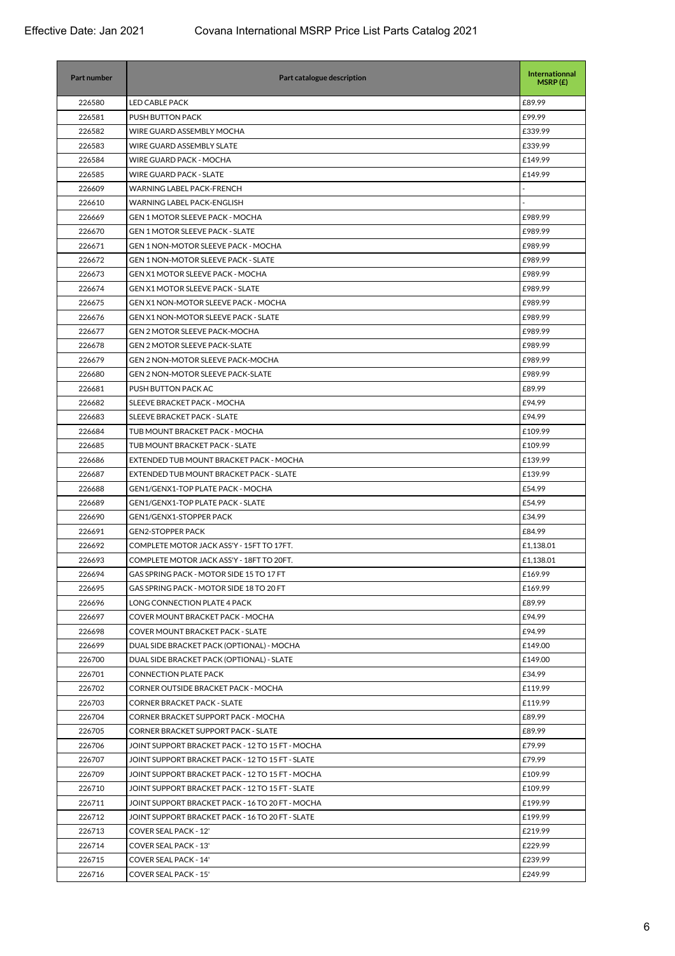| Part number | Part catalogue description                       | Internationnal<br>MSRP(E) |
|-------------|--------------------------------------------------|---------------------------|
| 226580      | <b>LED CABLE PACK</b>                            | £89.99                    |
| 226581      | PUSH BUTTON PACK                                 | £99.99                    |
| 226582      | WIRE GUARD ASSEMBLY MOCHA                        | £339.99                   |
| 226583      | WIRE GUARD ASSEMBLY SLATE                        | £339.99                   |
| 226584      | WIRE GUARD PACK - MOCHA                          | £149.99                   |
| 226585      | <b>WIRE GUARD PACK - SLATE</b>                   | £149.99                   |
| 226609      | <b>WARNING LABEL PACK-FRENCH</b>                 |                           |
| 226610      | WARNING LABEL PACK-ENGLISH                       |                           |
| 226669      | <b>GEN 1 MOTOR SLEEVE PACK - MOCHA</b>           | £989.99                   |
| 226670      | <b>GEN 1 MOTOR SLEEVE PACK - SLATE</b>           | £989.99                   |
| 226671      | <b>GEN 1 NON-MOTOR SLEEVE PACK - MOCHA</b>       | £989.99                   |
| 226672      | <b>GEN 1 NON-MOTOR SLEEVE PACK - SLATE</b>       | £989.99                   |
| 226673      | <b>GEN X1 MOTOR SLEEVE PACK - MOCHA</b>          | £989.99                   |
| 226674      | <b>GEN X1 MOTOR SLEEVE PACK - SLATE</b>          | £989.99                   |
| 226675      | <b>GEN X1 NON-MOTOR SLEEVE PACK - MOCHA</b>      | £989.99                   |
| 226676      | <b>GEN X1 NON-MOTOR SLEEVE PACK - SLATE</b>      | £989.99                   |
| 226677      | GEN 2 MOTOR SLEEVE PACK-MOCHA                    | £989.99                   |
| 226678      | <b>GEN 2 MOTOR SLEEVE PACK-SLATE</b>             | £989.99                   |
| 226679      | <b>GEN 2 NON-MOTOR SLEEVE PACK-MOCHA</b>         | £989.99                   |
| 226680      | <b>GEN 2 NON-MOTOR SLEEVE PACK-SLATE</b>         | £989.99                   |
| 226681      | PUSH BUTTON PACK AC                              | £89.99                    |
| 226682      | SLEEVE BRACKET PACK - MOCHA                      | £94.99                    |
| 226683      | SLEEVE BRACKET PACK - SLATE                      | £94.99                    |
| 226684      | TUB MOUNT BRACKET PACK - MOCHA                   | £109.99                   |
| 226685      | TUB MOUNT BRACKET PACK - SLATE                   | £109.99                   |
| 226686      | EXTENDED TUB MOUNT BRACKET PACK - MOCHA          | £139.99                   |
| 226687      | EXTENDED TUB MOUNT BRACKET PACK - SLATE          | £139.99                   |
| 226688      | GEN1/GENX1-TOP PLATE PACK - MOCHA                | £54.99                    |
| 226689      | <b>GEN1/GENX1-TOP PLATE PACK - SLATE</b>         | £54.99                    |
| 226690      | <b>GEN1/GENX1-STOPPER PACK</b>                   | £34.99                    |
| 226691      | <b>GEN2-STOPPER PACK</b>                         | £84.99                    |
| 226692      | COMPLETE MOTOR JACK ASS'Y - 15FT TO 17FT.        | £1,138.01                 |
| 226693      | COMPLETE MOTOR JACK ASS'Y - 18FT TO 20FT.        | £1,138.01                 |
| 226694      | GAS SPRING PACK - MOTOR SIDE 15 TO 17 FT         | £169.99                   |
| 226695      | GAS SPRING PACK - MOTOR SIDE 18 TO 20 FT         | £169.99                   |
| 226696      | LONG CONNECTION PLATE 4 PACK                     | £89.99                    |
| 226697      | COVER MOUNT BRACKET PACK - MOCHA                 | £94.99                    |
| 226698      | <b>COVER MOUNT BRACKET PACK - SLATE</b>          | £94.99                    |
| 226699      | DUAL SIDE BRACKET PACK (OPTIONAL) - MOCHA        | £149.00                   |
| 226700      | DUAL SIDE BRACKET PACK (OPTIONAL) - SLATE        | £149.00                   |
| 226701      | <b>CONNECTION PLATE PACK</b>                     | £34.99                    |
| 226702      | <b>CORNER OUTSIDE BRACKET PACK - MOCHA</b>       | £119.99                   |
| 226703      | <b>CORNER BRACKET PACK - SLATE</b>               | £119.99                   |
| 226704      | CORNER BRACKET SUPPORT PACK - MOCHA              | £89.99                    |
| 226705      | CORNER BRACKET SUPPORT PACK - SLATE              | £89.99                    |
| 226706      | JOINT SUPPORT BRACKET PACK - 12 TO 15 FT - MOCHA | £79.99                    |
| 226707      | JOINT SUPPORT BRACKET PACK - 12 TO 15 FT - SLATE | £79.99                    |
| 226709      | JOINT SUPPORT BRACKET PACK - 12 TO 15 FT - MOCHA | £109.99                   |
| 226710      | JOINT SUPPORT BRACKET PACK - 12 TO 15 FT - SLATE | £109.99                   |
|             |                                                  |                           |
| 226711      | JOINT SUPPORT BRACKET PACK - 16 TO 20 FT - MOCHA | £199.99                   |
| 226712      | JOINT SUPPORT BRACKET PACK - 16 TO 20 FT - SLATE | £199.99                   |
| 226713      | COVER SEAL PACK - 12'                            | £219.99                   |
| 226714      | COVER SEAL PACK - 13'                            | £229.99                   |
| 226715      | <b>COVER SEAL PACK - 14'</b>                     | £239.99                   |
| 226716      | COVER SEAL PACK - 15'                            | £249.99                   |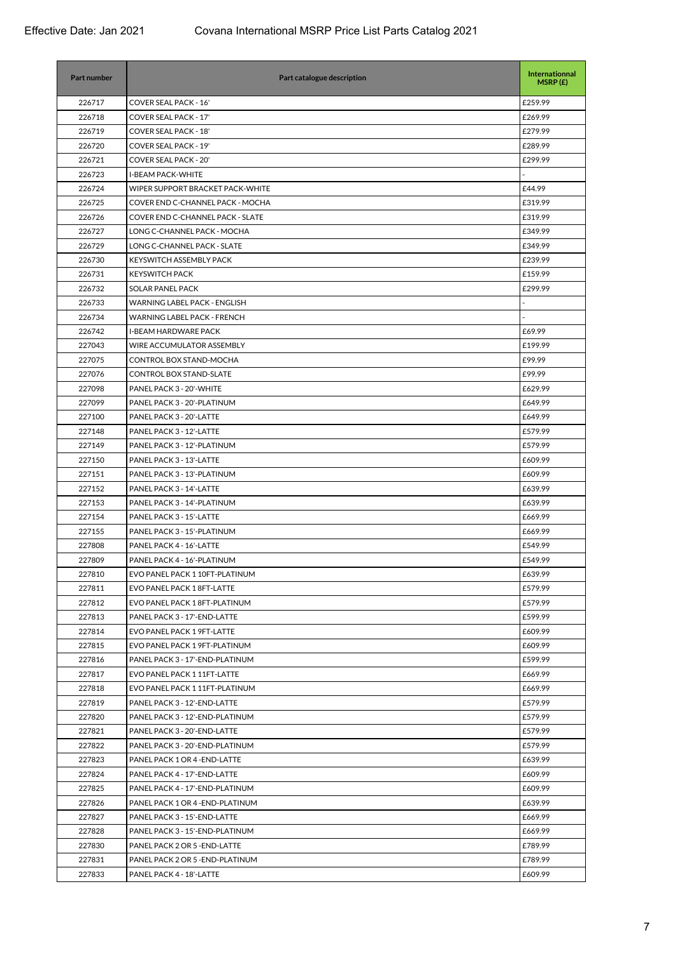| Part number | Part catalogue description              | <b>Internationnal</b><br>MSRP(E) |
|-------------|-----------------------------------------|----------------------------------|
| 226717      | COVER SEAL PACK - 16'                   | £259.99                          |
| 226718      | <b>COVER SEAL PACK - 17'</b>            | £269.99                          |
| 226719      | COVER SEAL PACK - 18'                   | £279.99                          |
| 226720      | COVER SEAL PACK - 19'                   | £289.99                          |
| 226721      | <b>COVER SEAL PACK - 20'</b>            | £299.99                          |
| 226723      | <b>I-BEAM PACK-WHITE</b>                |                                  |
| 226724      | WIPER SUPPORT BRACKET PACK-WHITE        | £44.99                           |
| 226725      | COVER END C-CHANNEL PACK - MOCHA        | £319.99                          |
| 226726      | <b>COVER END C-CHANNEL PACK - SLATE</b> | £319.99                          |
| 226727      | LONG C-CHANNEL PACK - MOCHA             | £349.99                          |
| 226729      | LONG C-CHANNEL PACK - SLATE             | £349.99                          |
| 226730      | KEYSWITCH ASSEMBLY PACK                 | £239.99                          |
| 226731      | <b>KEYSWITCH PACK</b>                   | £159.99                          |
| 226732      | <b>SOLAR PANEL PACK</b>                 | £299.99                          |
| 226733      | WARNING LABEL PACK - ENGLISH            |                                  |
| 226734      | WARNING LABEL PACK - FRENCH             |                                  |
| 226742      | <b>I-BEAM HARDWARE PACK</b>             | £69.99                           |
| 227043      | WIRE ACCUMULATOR ASSEMBLY               | £199.99                          |
| 227075      | CONTROL BOX STAND-MOCHA                 | £99.99                           |
| 227076      | <b>CONTROL BOX STAND-SLATE</b>          | £99.99                           |
| 227098      | PANEL PACK 3 - 20'-WHITE                | £629.99                          |
| 227099      | PANEL PACK 3 - 20'-PLATINUM             | £649.99                          |
| 227100      | PANEL PACK 3 - 20'-LATTE                | £649.99                          |
| 227148      | PANEL PACK 3 - 12'-LATTE                | £579.99                          |
| 227149      | PANEL PACK 3 - 12'-PLATINUM             | £579.99                          |
| 227150      | PANEL PACK 3 - 13'-LATTE                | £609.99                          |
| 227151      | PANEL PACK 3 - 13'-PLATINUM             | £609.99                          |
| 227152      | PANEL PACK 3 - 14'-LATTE                | £639.99                          |
| 227153      | PANEL PACK 3 - 14'-PLATINUM             | £639.99                          |
| 227154      | PANEL PACK 3 - 15'-LATTE                | £669.99                          |
| 227155      | PANEL PACK 3 - 15'-PLATINUM             | £669.99                          |
| 227808      | PANEL PACK 4 - 16'-LATTE                | £549.99                          |
| 227809      | PANEL PACK 4 - 16'-PLATINUM             | £549.99                          |
| 227810      | EVO PANEL PACK 1 10FT-PLATINUM          | £639.99                          |
| 227811      | EVO PANEL PACK 18FT-LATTE               | £579.99                          |
| 227812      | EVO PANEL PACK 18FT-PLATINUM            | £579.99                          |
| 227813      | PANEL PACK 3 - 17'-END-LATTE            | £599.99                          |
| 227814      | EVO PANEL PACK 1 9FT-LATTE              | £609.99                          |
| 227815      | EVO PANEL PACK 1 9FT-PLATINUM           | £609.99                          |
| 227816      | PANEL PACK 3 - 17'-END-PLATINUM         | £599.99                          |
| 227817      | EVO PANEL PACK 111FT-LATTE              | £669.99                          |
| 227818      | EVO PANEL PACK 111FT-PLATINUM           | £669.99                          |
| 227819      | PANEL PACK 3 - 12'-END-LATTE            | £579.99                          |
| 227820      | PANEL PACK 3 - 12'-END-PLATINUM         | £579.99                          |
| 227821      | PANEL PACK 3 - 20'-END-LATTE            | £579.99                          |
| 227822      | PANEL PACK 3 - 20'-END-PLATINUM         | £579.99                          |
| 227823      | PANEL PACK 1 OR 4 - END-LATTE           | £639.99                          |
| 227824      | PANEL PACK 4 - 17'-END-LATTE            | £609.99                          |
| 227825      | PANEL PACK 4 - 17'-END-PLATINUM         | £609.99                          |
| 227826      | PANEL PACK 1 OR 4 - END-PLATINUM        | £639.99                          |
| 227827      | PANEL PACK 3 - 15'-END-LATTE            | £669.99                          |
| 227828      | PANEL PACK 3 - 15'-END-PLATINUM         | £669.99                          |
| 227830      | PANEL PACK 2 OR 5 - END-LATTE           | £789.99                          |
| 227831      | PANEL PACK 2 OR 5 - END-PLATINUM        | £789.99                          |
| 227833      | PANEL PACK 4 - 18'-LATTE                | £609.99                          |
|             |                                         |                                  |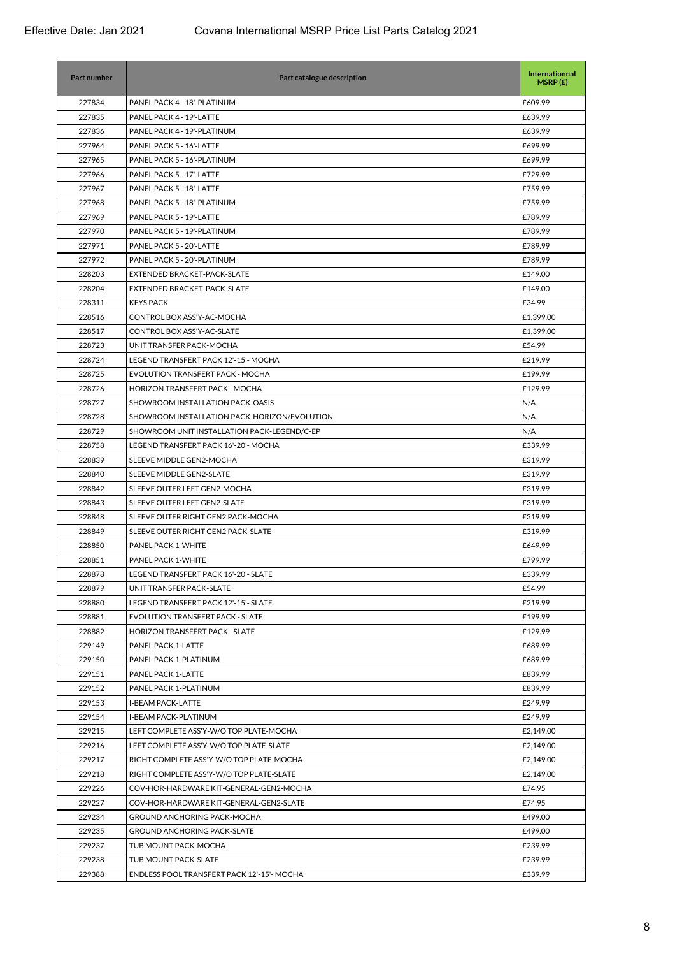| Part number | Part catalogue description                   | <b>Internationnal</b><br>MSRP(E) |
|-------------|----------------------------------------------|----------------------------------|
| 227834      | PANEL PACK 4 - 18'-PLATINUM                  | £609.99                          |
| 227835      | PANEL PACK 4 - 19'-LATTE                     | £639.99                          |
| 227836      | PANEL PACK 4 - 19'-PLATINUM                  | £639.99                          |
| 227964      | PANEL PACK 5 - 16'-LATTE                     | £699.99                          |
| 227965      | PANEL PACK 5 - 16'-PLATINUM                  | £699.99                          |
| 227966      | PANEL PACK 5 - 17'-LATTE                     | £729.99                          |
| 227967      | PANEL PACK 5 - 18'-LATTE                     | £759.99                          |
| 227968      | PANEL PACK 5 - 18'-PLATINUM                  | £759.99                          |
| 227969      | PANEL PACK 5 - 19'-LATTE                     | £789.99                          |
| 227970      | PANEL PACK 5 - 19'-PLATINUM                  | £789.99                          |
| 227971      | PANEL PACK 5 - 20'-LATTE                     | £789.99                          |
| 227972      | PANEL PACK 5 - 20'-PLATINUM                  | £789.99                          |
| 228203      | EXTENDED BRACKET-PACK-SLATE                  | £149.00                          |
| 228204      | EXTENDED BRACKET-PACK-SLATE                  | £149.00                          |
| 228311      | <b>KEYS PACK</b>                             | £34.99                           |
| 228516      | CONTROL BOX ASS'Y-AC-MOCHA                   | £1,399.00                        |
| 228517      | CONTROL BOX ASS'Y-AC-SLATE                   | £1,399.00                        |
| 228723      | UNIT TRANSFER PACK-MOCHA                     | £54.99                           |
| 228724      | LEGEND TRANSFERT PACK 12'-15'- MOCHA         | £219.99                          |
| 228725      | EVOLUTION TRANSFERT PACK - MOCHA             | £199.99                          |
| 228726      | HORIZON TRANSFERT PACK - MOCHA               | £129.99                          |
| 228727      | SHOWROOM INSTALLATION PACK-OASIS             | N/A                              |
| 228728      | SHOWROOM INSTALLATION PACK-HORIZON/EVOLUTION | N/A                              |
| 228729      | SHOWROOM UNIT INSTALLATION PACK-LEGEND/C-EP  | N/A                              |
| 228758      | LEGEND TRANSFERT PACK 16'-20'- MOCHA         | £339.99                          |
| 228839      | SLEEVE MIDDLE GEN2-MOCHA                     | £319.99                          |
| 228840      | SLEEVE MIDDLE GEN2-SLATE                     | £319.99                          |
| 228842      | SLEEVE OUTER LEFT GEN2-MOCHA                 | £319.99                          |
| 228843      | SLEEVE OUTER LEFT GEN2-SLATE                 | £319.99                          |
| 228848      | SLEEVE OUTER RIGHT GEN2 PACK-MOCHA           | £319.99                          |
| 228849      | SLEEVE OUTER RIGHT GEN2 PACK-SLATE           | £319.99                          |
| 228850      | <b>PANEL PACK 1-WHITE</b>                    | £649.99                          |
| 228851      | PANEL PACK 1-WHITE                           | £799.99                          |
| 228878      | LEGEND TRANSFERT PACK 16'-20'- SLATE         | £339.99                          |
| 228879      | UNIT TRANSFER PACK-SLATE                     | £54.99                           |
| 228880      | LEGEND TRANSFERT PACK 12'-15'- SLATE         | £219.99                          |
| 228881      | <b>EVOLUTION TRANSFERT PACK - SLATE</b>      | £199.99                          |
| 228882      | <b>HORIZON TRANSFERT PACK - SLATE</b>        | £129.99                          |
| 229149      | PANEL PACK 1-LATTE                           | £689.99                          |
| 229150      | PANEL PACK 1-PLATINUM                        | £689.99                          |
| 229151      | PANEL PACK 1-LATTE                           | £839.99                          |
| 229152      | PANEL PACK 1-PLATINUM                        | £839.99                          |
| 229153      | <b>I-BEAM PACK-LATTE</b>                     | £249.99                          |
| 229154      | I-BEAM PACK-PLATINUM                         | £249.99                          |
| 229215      | LEFT COMPLETE ASS'Y-W/O TOP PLATE-MOCHA      | £2,149.00                        |
| 229216      | LEFT COMPLETE ASS'Y-W/O TOP PLATE-SLATE      | £2,149.00                        |
| 229217      | RIGHT COMPLETE ASS'Y-W/O TOP PLATE-MOCHA     | £2,149.00                        |
| 229218      | RIGHT COMPLETE ASS'Y-W/O TOP PLATE-SLATE     | £2,149.00                        |
| 229226      | COV-HOR-HARDWARE KIT-GENERAL-GEN2-MOCHA      | £74.95                           |
| 229227      | COV-HOR-HARDWARE KIT-GENERAL-GEN2-SLATE      | £74.95                           |
| 229234      | GROUND ANCHORING PACK-MOCHA                  | £499.00                          |
| 229235      | <b>GROUND ANCHORING PACK-SLATE</b>           | £499.00                          |
| 229237      | TUB MOUNT PACK-MOCHA                         | £239.99                          |
| 229238      | TUB MOUNT PACK-SLATE                         | £239.99                          |
| 229388      | ENDLESS POOL TRANSFERT PACK 12'-15'- MOCHA   | £339.99                          |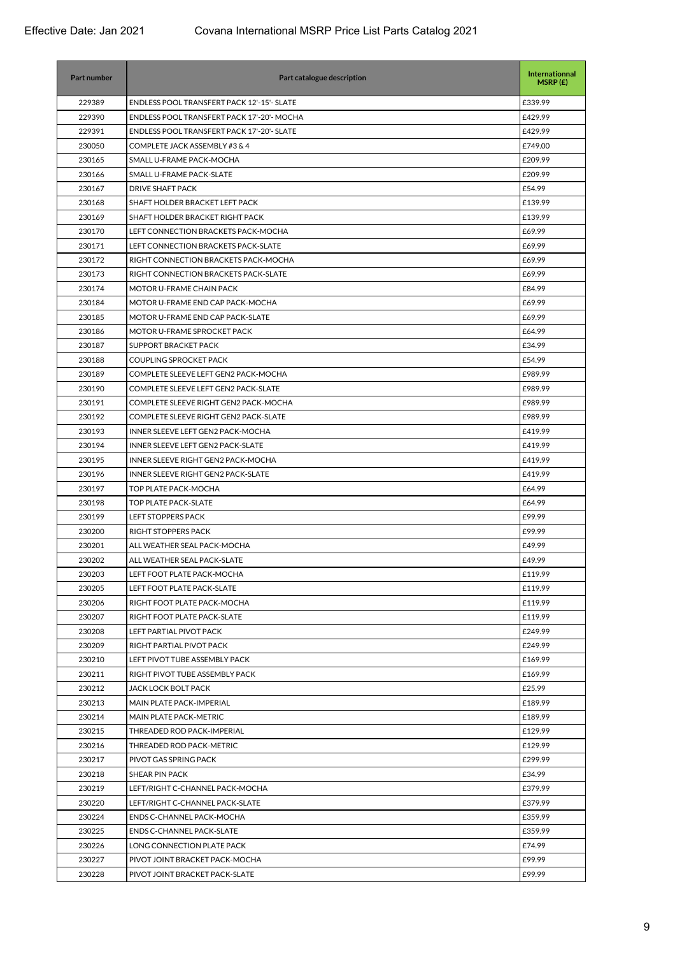| 229389<br>ENDLESS POOL TRANSFERT PACK 12'-15'- SLATE<br>£339.99<br>229390<br>ENDLESS POOL TRANSFERT PACK 17'-20'- MOCHA<br>£429.99<br>229391<br>ENDLESS POOL TRANSFERT PACK 17'-20'- SLATE<br>£429.99<br>230050<br>COMPLETE JACK ASSEMBLY #3 & 4<br>£749.00<br>230165<br>SMALL U-FRAME PACK-MOCHA<br>£209.99<br>230166<br>SMALL U-FRAME PACK-SLATE<br>£209.99<br>230167<br><b>DRIVE SHAFT PACK</b><br>£54.99<br>SHAFT HOLDER BRACKET LEFT PACK<br>230168<br>£139.99<br>230169<br>SHAFT HOLDER BRACKET RIGHT PACK<br>£139.99<br>230170<br>LEFT CONNECTION BRACKETS PACK-MOCHA<br>£69.99<br>230171<br>LEFT CONNECTION BRACKETS PACK-SLATE<br>£69.99<br>230172<br>RIGHT CONNECTION BRACKETS PACK-MOCHA<br>£69.99<br>230173<br>£69.99<br>RIGHT CONNECTION BRACKETS PACK-SLATE<br>230174<br>MOTOR U-FRAME CHAIN PACK<br>£84.99<br>230184<br>MOTOR U-FRAME END CAP PACK-MOCHA<br>£69.99<br>230185<br>£69.99<br>MOTOR U-FRAME END CAP PACK-SLATE<br>230186<br>MOTOR U-FRAME SPROCKET PACK<br>£64.99<br>230187<br>SUPPORT BRACKET PACK<br>£34.99<br>£54.99<br>230188<br><b>COUPLING SPROCKET PACK</b><br>230189<br>COMPLETE SLEEVE LEFT GEN2 PACK-MOCHA<br>£989.99<br>230190<br>£989.99<br>COMPLETE SLEEVE LEFT GEN2 PACK-SLATE<br>230191<br>COMPLETE SLEEVE RIGHT GEN2 PACK-MOCHA<br>£989.99<br>230192<br>COMPLETE SLEEVE RIGHT GEN2 PACK-SLATE<br>£989.99<br>230193<br>INNER SLEEVE LEFT GEN2 PACK-MOCHA<br>£419.99<br>230194<br>INNER SLEEVE LEFT GEN2 PACK-SLATE<br>£419.99<br>230195<br>INNER SLEEVE RIGHT GEN2 PACK-MOCHA<br>£419.99<br>230196<br>INNER SLEEVE RIGHT GEN2 PACK-SLATE<br>£419.99<br>230197<br>TOP PLATE PACK-MOCHA<br>£64.99<br>230198<br>£64.99<br><b>TOP PLATE PACK-SLATE</b><br>230199<br><b>LEFT STOPPERS PACK</b><br>£99.99<br>230200<br>RIGHT STOPPERS PACK<br>£99.99<br>230201<br>ALL WEATHER SEAL PACK-MOCHA<br>£49.99<br>230202<br>ALL WEATHER SEAL PACK-SLATE<br>£49.99<br>230203<br>LEFT FOOT PLATE PACK-MOCHA<br>£119.99<br>230205<br>LEFT FOOT PLATE PACK-SLATE<br>£119.99<br>230206<br>RIGHT FOOT PLATE PACK-MOCHA<br>£119.99<br>230207<br>£119.99<br>RIGHT FOOT PLATE PACK-SLATE<br>230208<br>LEFT PARTIAL PIVOT PACK<br>£249.99<br>230209<br>RIGHT PARTIAL PIVOT PACK<br>£249.99<br>230210<br>LEFT PIVOT TUBE ASSEMBLY PACK<br>£169.99<br>230211<br>RIGHT PIVOT TUBE ASSEMBLY PACK<br>£169.99<br>230212<br>JACK LOCK BOLT PACK<br>£25.99<br>230213<br>MAIN PLATE PACK-IMPERIAL<br>£189.99<br>230214<br>MAIN PLATE PACK-METRIC<br>£189.99<br>230215<br>THREADED ROD PACK-IMPERIAL<br>£129.99<br>230216<br>THREADED ROD PACK-METRIC<br>£129.99<br>230217<br>£299.99<br>PIVOT GAS SPRING PACK<br>230218<br>SHEAR PIN PACK<br>£34.99<br>£379.99<br>230219<br>LEFT/RIGHT C-CHANNEL PACK-MOCHA<br>230220<br>LEFT/RIGHT C-CHANNEL PACK-SLATE<br>£379.99<br>230224<br>ENDS C-CHANNEL PACK-MOCHA<br>£359.99<br>230225<br><b>ENDS C-CHANNEL PACK-SLATE</b><br>£359.99<br>230226<br>LONG CONNECTION PLATE PACK<br>£74.99<br>£99.99<br>230227<br>PIVOT JOINT BRACKET PACK-MOCHA<br>230228<br>£99.99<br>PIVOT JOINT BRACKET PACK-SLATE | Part number | Part catalogue description | <b>Internationnal</b><br>MSRP(E) |
|--------------------------------------------------------------------------------------------------------------------------------------------------------------------------------------------------------------------------------------------------------------------------------------------------------------------------------------------------------------------------------------------------------------------------------------------------------------------------------------------------------------------------------------------------------------------------------------------------------------------------------------------------------------------------------------------------------------------------------------------------------------------------------------------------------------------------------------------------------------------------------------------------------------------------------------------------------------------------------------------------------------------------------------------------------------------------------------------------------------------------------------------------------------------------------------------------------------------------------------------------------------------------------------------------------------------------------------------------------------------------------------------------------------------------------------------------------------------------------------------------------------------------------------------------------------------------------------------------------------------------------------------------------------------------------------------------------------------------------------------------------------------------------------------------------------------------------------------------------------------------------------------------------------------------------------------------------------------------------------------------------------------------------------------------------------------------------------------------------------------------------------------------------------------------------------------------------------------------------------------------------------------------------------------------------------------------------------------------------------------------------------------------------------------------------------------------------------------------------------------------------------------------------------------------------------------------------------------------------------------------------------------------------------------------------------------------------------------------------------------------------------------------------------------------------------------------------------------------------------------------------------------------------------------------------------------------------------------------------------------------------------------------------------------------------|-------------|----------------------------|----------------------------------|
|                                                                                                                                                                                                                                                                                                                                                                                                                                                                                                                                                                                                                                                                                                                                                                                                                                                                                                                                                                                                                                                                                                                                                                                                                                                                                                                                                                                                                                                                                                                                                                                                                                                                                                                                                                                                                                                                                                                                                                                                                                                                                                                                                                                                                                                                                                                                                                                                                                                                                                                                                                                                                                                                                                                                                                                                                                                                                                                                                                                                                                                        |             |                            |                                  |
|                                                                                                                                                                                                                                                                                                                                                                                                                                                                                                                                                                                                                                                                                                                                                                                                                                                                                                                                                                                                                                                                                                                                                                                                                                                                                                                                                                                                                                                                                                                                                                                                                                                                                                                                                                                                                                                                                                                                                                                                                                                                                                                                                                                                                                                                                                                                                                                                                                                                                                                                                                                                                                                                                                                                                                                                                                                                                                                                                                                                                                                        |             |                            |                                  |
|                                                                                                                                                                                                                                                                                                                                                                                                                                                                                                                                                                                                                                                                                                                                                                                                                                                                                                                                                                                                                                                                                                                                                                                                                                                                                                                                                                                                                                                                                                                                                                                                                                                                                                                                                                                                                                                                                                                                                                                                                                                                                                                                                                                                                                                                                                                                                                                                                                                                                                                                                                                                                                                                                                                                                                                                                                                                                                                                                                                                                                                        |             |                            |                                  |
|                                                                                                                                                                                                                                                                                                                                                                                                                                                                                                                                                                                                                                                                                                                                                                                                                                                                                                                                                                                                                                                                                                                                                                                                                                                                                                                                                                                                                                                                                                                                                                                                                                                                                                                                                                                                                                                                                                                                                                                                                                                                                                                                                                                                                                                                                                                                                                                                                                                                                                                                                                                                                                                                                                                                                                                                                                                                                                                                                                                                                                                        |             |                            |                                  |
|                                                                                                                                                                                                                                                                                                                                                                                                                                                                                                                                                                                                                                                                                                                                                                                                                                                                                                                                                                                                                                                                                                                                                                                                                                                                                                                                                                                                                                                                                                                                                                                                                                                                                                                                                                                                                                                                                                                                                                                                                                                                                                                                                                                                                                                                                                                                                                                                                                                                                                                                                                                                                                                                                                                                                                                                                                                                                                                                                                                                                                                        |             |                            |                                  |
|                                                                                                                                                                                                                                                                                                                                                                                                                                                                                                                                                                                                                                                                                                                                                                                                                                                                                                                                                                                                                                                                                                                                                                                                                                                                                                                                                                                                                                                                                                                                                                                                                                                                                                                                                                                                                                                                                                                                                                                                                                                                                                                                                                                                                                                                                                                                                                                                                                                                                                                                                                                                                                                                                                                                                                                                                                                                                                                                                                                                                                                        |             |                            |                                  |
|                                                                                                                                                                                                                                                                                                                                                                                                                                                                                                                                                                                                                                                                                                                                                                                                                                                                                                                                                                                                                                                                                                                                                                                                                                                                                                                                                                                                                                                                                                                                                                                                                                                                                                                                                                                                                                                                                                                                                                                                                                                                                                                                                                                                                                                                                                                                                                                                                                                                                                                                                                                                                                                                                                                                                                                                                                                                                                                                                                                                                                                        |             |                            |                                  |
|                                                                                                                                                                                                                                                                                                                                                                                                                                                                                                                                                                                                                                                                                                                                                                                                                                                                                                                                                                                                                                                                                                                                                                                                                                                                                                                                                                                                                                                                                                                                                                                                                                                                                                                                                                                                                                                                                                                                                                                                                                                                                                                                                                                                                                                                                                                                                                                                                                                                                                                                                                                                                                                                                                                                                                                                                                                                                                                                                                                                                                                        |             |                            |                                  |
|                                                                                                                                                                                                                                                                                                                                                                                                                                                                                                                                                                                                                                                                                                                                                                                                                                                                                                                                                                                                                                                                                                                                                                                                                                                                                                                                                                                                                                                                                                                                                                                                                                                                                                                                                                                                                                                                                                                                                                                                                                                                                                                                                                                                                                                                                                                                                                                                                                                                                                                                                                                                                                                                                                                                                                                                                                                                                                                                                                                                                                                        |             |                            |                                  |
|                                                                                                                                                                                                                                                                                                                                                                                                                                                                                                                                                                                                                                                                                                                                                                                                                                                                                                                                                                                                                                                                                                                                                                                                                                                                                                                                                                                                                                                                                                                                                                                                                                                                                                                                                                                                                                                                                                                                                                                                                                                                                                                                                                                                                                                                                                                                                                                                                                                                                                                                                                                                                                                                                                                                                                                                                                                                                                                                                                                                                                                        |             |                            |                                  |
|                                                                                                                                                                                                                                                                                                                                                                                                                                                                                                                                                                                                                                                                                                                                                                                                                                                                                                                                                                                                                                                                                                                                                                                                                                                                                                                                                                                                                                                                                                                                                                                                                                                                                                                                                                                                                                                                                                                                                                                                                                                                                                                                                                                                                                                                                                                                                                                                                                                                                                                                                                                                                                                                                                                                                                                                                                                                                                                                                                                                                                                        |             |                            |                                  |
|                                                                                                                                                                                                                                                                                                                                                                                                                                                                                                                                                                                                                                                                                                                                                                                                                                                                                                                                                                                                                                                                                                                                                                                                                                                                                                                                                                                                                                                                                                                                                                                                                                                                                                                                                                                                                                                                                                                                                                                                                                                                                                                                                                                                                                                                                                                                                                                                                                                                                                                                                                                                                                                                                                                                                                                                                                                                                                                                                                                                                                                        |             |                            |                                  |
|                                                                                                                                                                                                                                                                                                                                                                                                                                                                                                                                                                                                                                                                                                                                                                                                                                                                                                                                                                                                                                                                                                                                                                                                                                                                                                                                                                                                                                                                                                                                                                                                                                                                                                                                                                                                                                                                                                                                                                                                                                                                                                                                                                                                                                                                                                                                                                                                                                                                                                                                                                                                                                                                                                                                                                                                                                                                                                                                                                                                                                                        |             |                            |                                  |
|                                                                                                                                                                                                                                                                                                                                                                                                                                                                                                                                                                                                                                                                                                                                                                                                                                                                                                                                                                                                                                                                                                                                                                                                                                                                                                                                                                                                                                                                                                                                                                                                                                                                                                                                                                                                                                                                                                                                                                                                                                                                                                                                                                                                                                                                                                                                                                                                                                                                                                                                                                                                                                                                                                                                                                                                                                                                                                                                                                                                                                                        |             |                            |                                  |
|                                                                                                                                                                                                                                                                                                                                                                                                                                                                                                                                                                                                                                                                                                                                                                                                                                                                                                                                                                                                                                                                                                                                                                                                                                                                                                                                                                                                                                                                                                                                                                                                                                                                                                                                                                                                                                                                                                                                                                                                                                                                                                                                                                                                                                                                                                                                                                                                                                                                                                                                                                                                                                                                                                                                                                                                                                                                                                                                                                                                                                                        |             |                            |                                  |
|                                                                                                                                                                                                                                                                                                                                                                                                                                                                                                                                                                                                                                                                                                                                                                                                                                                                                                                                                                                                                                                                                                                                                                                                                                                                                                                                                                                                                                                                                                                                                                                                                                                                                                                                                                                                                                                                                                                                                                                                                                                                                                                                                                                                                                                                                                                                                                                                                                                                                                                                                                                                                                                                                                                                                                                                                                                                                                                                                                                                                                                        |             |                            |                                  |
|                                                                                                                                                                                                                                                                                                                                                                                                                                                                                                                                                                                                                                                                                                                                                                                                                                                                                                                                                                                                                                                                                                                                                                                                                                                                                                                                                                                                                                                                                                                                                                                                                                                                                                                                                                                                                                                                                                                                                                                                                                                                                                                                                                                                                                                                                                                                                                                                                                                                                                                                                                                                                                                                                                                                                                                                                                                                                                                                                                                                                                                        |             |                            |                                  |
|                                                                                                                                                                                                                                                                                                                                                                                                                                                                                                                                                                                                                                                                                                                                                                                                                                                                                                                                                                                                                                                                                                                                                                                                                                                                                                                                                                                                                                                                                                                                                                                                                                                                                                                                                                                                                                                                                                                                                                                                                                                                                                                                                                                                                                                                                                                                                                                                                                                                                                                                                                                                                                                                                                                                                                                                                                                                                                                                                                                                                                                        |             |                            |                                  |
|                                                                                                                                                                                                                                                                                                                                                                                                                                                                                                                                                                                                                                                                                                                                                                                                                                                                                                                                                                                                                                                                                                                                                                                                                                                                                                                                                                                                                                                                                                                                                                                                                                                                                                                                                                                                                                                                                                                                                                                                                                                                                                                                                                                                                                                                                                                                                                                                                                                                                                                                                                                                                                                                                                                                                                                                                                                                                                                                                                                                                                                        |             |                            |                                  |
|                                                                                                                                                                                                                                                                                                                                                                                                                                                                                                                                                                                                                                                                                                                                                                                                                                                                                                                                                                                                                                                                                                                                                                                                                                                                                                                                                                                                                                                                                                                                                                                                                                                                                                                                                                                                                                                                                                                                                                                                                                                                                                                                                                                                                                                                                                                                                                                                                                                                                                                                                                                                                                                                                                                                                                                                                                                                                                                                                                                                                                                        |             |                            |                                  |
|                                                                                                                                                                                                                                                                                                                                                                                                                                                                                                                                                                                                                                                                                                                                                                                                                                                                                                                                                                                                                                                                                                                                                                                                                                                                                                                                                                                                                                                                                                                                                                                                                                                                                                                                                                                                                                                                                                                                                                                                                                                                                                                                                                                                                                                                                                                                                                                                                                                                                                                                                                                                                                                                                                                                                                                                                                                                                                                                                                                                                                                        |             |                            |                                  |
|                                                                                                                                                                                                                                                                                                                                                                                                                                                                                                                                                                                                                                                                                                                                                                                                                                                                                                                                                                                                                                                                                                                                                                                                                                                                                                                                                                                                                                                                                                                                                                                                                                                                                                                                                                                                                                                                                                                                                                                                                                                                                                                                                                                                                                                                                                                                                                                                                                                                                                                                                                                                                                                                                                                                                                                                                                                                                                                                                                                                                                                        |             |                            |                                  |
|                                                                                                                                                                                                                                                                                                                                                                                                                                                                                                                                                                                                                                                                                                                                                                                                                                                                                                                                                                                                                                                                                                                                                                                                                                                                                                                                                                                                                                                                                                                                                                                                                                                                                                                                                                                                                                                                                                                                                                                                                                                                                                                                                                                                                                                                                                                                                                                                                                                                                                                                                                                                                                                                                                                                                                                                                                                                                                                                                                                                                                                        |             |                            |                                  |
|                                                                                                                                                                                                                                                                                                                                                                                                                                                                                                                                                                                                                                                                                                                                                                                                                                                                                                                                                                                                                                                                                                                                                                                                                                                                                                                                                                                                                                                                                                                                                                                                                                                                                                                                                                                                                                                                                                                                                                                                                                                                                                                                                                                                                                                                                                                                                                                                                                                                                                                                                                                                                                                                                                                                                                                                                                                                                                                                                                                                                                                        |             |                            |                                  |
|                                                                                                                                                                                                                                                                                                                                                                                                                                                                                                                                                                                                                                                                                                                                                                                                                                                                                                                                                                                                                                                                                                                                                                                                                                                                                                                                                                                                                                                                                                                                                                                                                                                                                                                                                                                                                                                                                                                                                                                                                                                                                                                                                                                                                                                                                                                                                                                                                                                                                                                                                                                                                                                                                                                                                                                                                                                                                                                                                                                                                                                        |             |                            |                                  |
|                                                                                                                                                                                                                                                                                                                                                                                                                                                                                                                                                                                                                                                                                                                                                                                                                                                                                                                                                                                                                                                                                                                                                                                                                                                                                                                                                                                                                                                                                                                                                                                                                                                                                                                                                                                                                                                                                                                                                                                                                                                                                                                                                                                                                                                                                                                                                                                                                                                                                                                                                                                                                                                                                                                                                                                                                                                                                                                                                                                                                                                        |             |                            |                                  |
|                                                                                                                                                                                                                                                                                                                                                                                                                                                                                                                                                                                                                                                                                                                                                                                                                                                                                                                                                                                                                                                                                                                                                                                                                                                                                                                                                                                                                                                                                                                                                                                                                                                                                                                                                                                                                                                                                                                                                                                                                                                                                                                                                                                                                                                                                                                                                                                                                                                                                                                                                                                                                                                                                                                                                                                                                                                                                                                                                                                                                                                        |             |                            |                                  |
|                                                                                                                                                                                                                                                                                                                                                                                                                                                                                                                                                                                                                                                                                                                                                                                                                                                                                                                                                                                                                                                                                                                                                                                                                                                                                                                                                                                                                                                                                                                                                                                                                                                                                                                                                                                                                                                                                                                                                                                                                                                                                                                                                                                                                                                                                                                                                                                                                                                                                                                                                                                                                                                                                                                                                                                                                                                                                                                                                                                                                                                        |             |                            |                                  |
|                                                                                                                                                                                                                                                                                                                                                                                                                                                                                                                                                                                                                                                                                                                                                                                                                                                                                                                                                                                                                                                                                                                                                                                                                                                                                                                                                                                                                                                                                                                                                                                                                                                                                                                                                                                                                                                                                                                                                                                                                                                                                                                                                                                                                                                                                                                                                                                                                                                                                                                                                                                                                                                                                                                                                                                                                                                                                                                                                                                                                                                        |             |                            |                                  |
|                                                                                                                                                                                                                                                                                                                                                                                                                                                                                                                                                                                                                                                                                                                                                                                                                                                                                                                                                                                                                                                                                                                                                                                                                                                                                                                                                                                                                                                                                                                                                                                                                                                                                                                                                                                                                                                                                                                                                                                                                                                                                                                                                                                                                                                                                                                                                                                                                                                                                                                                                                                                                                                                                                                                                                                                                                                                                                                                                                                                                                                        |             |                            |                                  |
|                                                                                                                                                                                                                                                                                                                                                                                                                                                                                                                                                                                                                                                                                                                                                                                                                                                                                                                                                                                                                                                                                                                                                                                                                                                                                                                                                                                                                                                                                                                                                                                                                                                                                                                                                                                                                                                                                                                                                                                                                                                                                                                                                                                                                                                                                                                                                                                                                                                                                                                                                                                                                                                                                                                                                                                                                                                                                                                                                                                                                                                        |             |                            |                                  |
|                                                                                                                                                                                                                                                                                                                                                                                                                                                                                                                                                                                                                                                                                                                                                                                                                                                                                                                                                                                                                                                                                                                                                                                                                                                                                                                                                                                                                                                                                                                                                                                                                                                                                                                                                                                                                                                                                                                                                                                                                                                                                                                                                                                                                                                                                                                                                                                                                                                                                                                                                                                                                                                                                                                                                                                                                                                                                                                                                                                                                                                        |             |                            |                                  |
|                                                                                                                                                                                                                                                                                                                                                                                                                                                                                                                                                                                                                                                                                                                                                                                                                                                                                                                                                                                                                                                                                                                                                                                                                                                                                                                                                                                                                                                                                                                                                                                                                                                                                                                                                                                                                                                                                                                                                                                                                                                                                                                                                                                                                                                                                                                                                                                                                                                                                                                                                                                                                                                                                                                                                                                                                                                                                                                                                                                                                                                        |             |                            |                                  |
|                                                                                                                                                                                                                                                                                                                                                                                                                                                                                                                                                                                                                                                                                                                                                                                                                                                                                                                                                                                                                                                                                                                                                                                                                                                                                                                                                                                                                                                                                                                                                                                                                                                                                                                                                                                                                                                                                                                                                                                                                                                                                                                                                                                                                                                                                                                                                                                                                                                                                                                                                                                                                                                                                                                                                                                                                                                                                                                                                                                                                                                        |             |                            |                                  |
|                                                                                                                                                                                                                                                                                                                                                                                                                                                                                                                                                                                                                                                                                                                                                                                                                                                                                                                                                                                                                                                                                                                                                                                                                                                                                                                                                                                                                                                                                                                                                                                                                                                                                                                                                                                                                                                                                                                                                                                                                                                                                                                                                                                                                                                                                                                                                                                                                                                                                                                                                                                                                                                                                                                                                                                                                                                                                                                                                                                                                                                        |             |                            |                                  |
|                                                                                                                                                                                                                                                                                                                                                                                                                                                                                                                                                                                                                                                                                                                                                                                                                                                                                                                                                                                                                                                                                                                                                                                                                                                                                                                                                                                                                                                                                                                                                                                                                                                                                                                                                                                                                                                                                                                                                                                                                                                                                                                                                                                                                                                                                                                                                                                                                                                                                                                                                                                                                                                                                                                                                                                                                                                                                                                                                                                                                                                        |             |                            |                                  |
|                                                                                                                                                                                                                                                                                                                                                                                                                                                                                                                                                                                                                                                                                                                                                                                                                                                                                                                                                                                                                                                                                                                                                                                                                                                                                                                                                                                                                                                                                                                                                                                                                                                                                                                                                                                                                                                                                                                                                                                                                                                                                                                                                                                                                                                                                                                                                                                                                                                                                                                                                                                                                                                                                                                                                                                                                                                                                                                                                                                                                                                        |             |                            |                                  |
|                                                                                                                                                                                                                                                                                                                                                                                                                                                                                                                                                                                                                                                                                                                                                                                                                                                                                                                                                                                                                                                                                                                                                                                                                                                                                                                                                                                                                                                                                                                                                                                                                                                                                                                                                                                                                                                                                                                                                                                                                                                                                                                                                                                                                                                                                                                                                                                                                                                                                                                                                                                                                                                                                                                                                                                                                                                                                                                                                                                                                                                        |             |                            |                                  |
|                                                                                                                                                                                                                                                                                                                                                                                                                                                                                                                                                                                                                                                                                                                                                                                                                                                                                                                                                                                                                                                                                                                                                                                                                                                                                                                                                                                                                                                                                                                                                                                                                                                                                                                                                                                                                                                                                                                                                                                                                                                                                                                                                                                                                                                                                                                                                                                                                                                                                                                                                                                                                                                                                                                                                                                                                                                                                                                                                                                                                                                        |             |                            |                                  |
|                                                                                                                                                                                                                                                                                                                                                                                                                                                                                                                                                                                                                                                                                                                                                                                                                                                                                                                                                                                                                                                                                                                                                                                                                                                                                                                                                                                                                                                                                                                                                                                                                                                                                                                                                                                                                                                                                                                                                                                                                                                                                                                                                                                                                                                                                                                                                                                                                                                                                                                                                                                                                                                                                                                                                                                                                                                                                                                                                                                                                                                        |             |                            |                                  |
|                                                                                                                                                                                                                                                                                                                                                                                                                                                                                                                                                                                                                                                                                                                                                                                                                                                                                                                                                                                                                                                                                                                                                                                                                                                                                                                                                                                                                                                                                                                                                                                                                                                                                                                                                                                                                                                                                                                                                                                                                                                                                                                                                                                                                                                                                                                                                                                                                                                                                                                                                                                                                                                                                                                                                                                                                                                                                                                                                                                                                                                        |             |                            |                                  |
|                                                                                                                                                                                                                                                                                                                                                                                                                                                                                                                                                                                                                                                                                                                                                                                                                                                                                                                                                                                                                                                                                                                                                                                                                                                                                                                                                                                                                                                                                                                                                                                                                                                                                                                                                                                                                                                                                                                                                                                                                                                                                                                                                                                                                                                                                                                                                                                                                                                                                                                                                                                                                                                                                                                                                                                                                                                                                                                                                                                                                                                        |             |                            |                                  |
|                                                                                                                                                                                                                                                                                                                                                                                                                                                                                                                                                                                                                                                                                                                                                                                                                                                                                                                                                                                                                                                                                                                                                                                                                                                                                                                                                                                                                                                                                                                                                                                                                                                                                                                                                                                                                                                                                                                                                                                                                                                                                                                                                                                                                                                                                                                                                                                                                                                                                                                                                                                                                                                                                                                                                                                                                                                                                                                                                                                                                                                        |             |                            |                                  |
|                                                                                                                                                                                                                                                                                                                                                                                                                                                                                                                                                                                                                                                                                                                                                                                                                                                                                                                                                                                                                                                                                                                                                                                                                                                                                                                                                                                                                                                                                                                                                                                                                                                                                                                                                                                                                                                                                                                                                                                                                                                                                                                                                                                                                                                                                                                                                                                                                                                                                                                                                                                                                                                                                                                                                                                                                                                                                                                                                                                                                                                        |             |                            |                                  |
|                                                                                                                                                                                                                                                                                                                                                                                                                                                                                                                                                                                                                                                                                                                                                                                                                                                                                                                                                                                                                                                                                                                                                                                                                                                                                                                                                                                                                                                                                                                                                                                                                                                                                                                                                                                                                                                                                                                                                                                                                                                                                                                                                                                                                                                                                                                                                                                                                                                                                                                                                                                                                                                                                                                                                                                                                                                                                                                                                                                                                                                        |             |                            |                                  |
|                                                                                                                                                                                                                                                                                                                                                                                                                                                                                                                                                                                                                                                                                                                                                                                                                                                                                                                                                                                                                                                                                                                                                                                                                                                                                                                                                                                                                                                                                                                                                                                                                                                                                                                                                                                                                                                                                                                                                                                                                                                                                                                                                                                                                                                                                                                                                                                                                                                                                                                                                                                                                                                                                                                                                                                                                                                                                                                                                                                                                                                        |             |                            |                                  |
|                                                                                                                                                                                                                                                                                                                                                                                                                                                                                                                                                                                                                                                                                                                                                                                                                                                                                                                                                                                                                                                                                                                                                                                                                                                                                                                                                                                                                                                                                                                                                                                                                                                                                                                                                                                                                                                                                                                                                                                                                                                                                                                                                                                                                                                                                                                                                                                                                                                                                                                                                                                                                                                                                                                                                                                                                                                                                                                                                                                                                                                        |             |                            |                                  |
|                                                                                                                                                                                                                                                                                                                                                                                                                                                                                                                                                                                                                                                                                                                                                                                                                                                                                                                                                                                                                                                                                                                                                                                                                                                                                                                                                                                                                                                                                                                                                                                                                                                                                                                                                                                                                                                                                                                                                                                                                                                                                                                                                                                                                                                                                                                                                                                                                                                                                                                                                                                                                                                                                                                                                                                                                                                                                                                                                                                                                                                        |             |                            |                                  |
|                                                                                                                                                                                                                                                                                                                                                                                                                                                                                                                                                                                                                                                                                                                                                                                                                                                                                                                                                                                                                                                                                                                                                                                                                                                                                                                                                                                                                                                                                                                                                                                                                                                                                                                                                                                                                                                                                                                                                                                                                                                                                                                                                                                                                                                                                                                                                                                                                                                                                                                                                                                                                                                                                                                                                                                                                                                                                                                                                                                                                                                        |             |                            |                                  |
|                                                                                                                                                                                                                                                                                                                                                                                                                                                                                                                                                                                                                                                                                                                                                                                                                                                                                                                                                                                                                                                                                                                                                                                                                                                                                                                                                                                                                                                                                                                                                                                                                                                                                                                                                                                                                                                                                                                                                                                                                                                                                                                                                                                                                                                                                                                                                                                                                                                                                                                                                                                                                                                                                                                                                                                                                                                                                                                                                                                                                                                        |             |                            |                                  |
|                                                                                                                                                                                                                                                                                                                                                                                                                                                                                                                                                                                                                                                                                                                                                                                                                                                                                                                                                                                                                                                                                                                                                                                                                                                                                                                                                                                                                                                                                                                                                                                                                                                                                                                                                                                                                                                                                                                                                                                                                                                                                                                                                                                                                                                                                                                                                                                                                                                                                                                                                                                                                                                                                                                                                                                                                                                                                                                                                                                                                                                        |             |                            |                                  |
|                                                                                                                                                                                                                                                                                                                                                                                                                                                                                                                                                                                                                                                                                                                                                                                                                                                                                                                                                                                                                                                                                                                                                                                                                                                                                                                                                                                                                                                                                                                                                                                                                                                                                                                                                                                                                                                                                                                                                                                                                                                                                                                                                                                                                                                                                                                                                                                                                                                                                                                                                                                                                                                                                                                                                                                                                                                                                                                                                                                                                                                        |             |                            |                                  |
|                                                                                                                                                                                                                                                                                                                                                                                                                                                                                                                                                                                                                                                                                                                                                                                                                                                                                                                                                                                                                                                                                                                                                                                                                                                                                                                                                                                                                                                                                                                                                                                                                                                                                                                                                                                                                                                                                                                                                                                                                                                                                                                                                                                                                                                                                                                                                                                                                                                                                                                                                                                                                                                                                                                                                                                                                                                                                                                                                                                                                                                        |             |                            |                                  |
|                                                                                                                                                                                                                                                                                                                                                                                                                                                                                                                                                                                                                                                                                                                                                                                                                                                                                                                                                                                                                                                                                                                                                                                                                                                                                                                                                                                                                                                                                                                                                                                                                                                                                                                                                                                                                                                                                                                                                                                                                                                                                                                                                                                                                                                                                                                                                                                                                                                                                                                                                                                                                                                                                                                                                                                                                                                                                                                                                                                                                                                        |             |                            |                                  |
|                                                                                                                                                                                                                                                                                                                                                                                                                                                                                                                                                                                                                                                                                                                                                                                                                                                                                                                                                                                                                                                                                                                                                                                                                                                                                                                                                                                                                                                                                                                                                                                                                                                                                                                                                                                                                                                                                                                                                                                                                                                                                                                                                                                                                                                                                                                                                                                                                                                                                                                                                                                                                                                                                                                                                                                                                                                                                                                                                                                                                                                        |             |                            |                                  |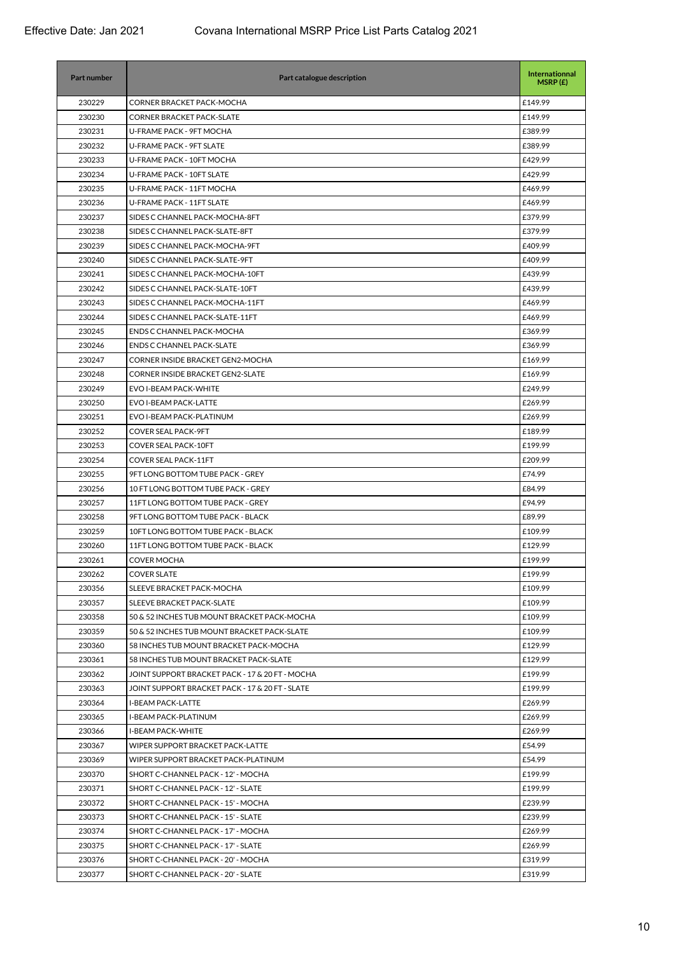| <b>Part number</b> | Part catalogue description                      | Internationnal<br>MSRP(E) |
|--------------------|-------------------------------------------------|---------------------------|
| 230229             | CORNER BRACKET PACK-MOCHA                       | £149.99                   |
| 230230             | <b>CORNER BRACKET PACK-SLATE</b>                | £149.99                   |
| 230231             | U-FRAME PACK - 9FT MOCHA                        | £389.99                   |
| 230232             | U-FRAME PACK - 9FT SLATE                        | £389.99                   |
| 230233             | U-FRAME PACK - 10FT MOCHA                       | £429.99                   |
| 230234             | U-FRAME PACK - 10FT SLATE                       | £429.99                   |
| 230235             | U-FRAME PACK - 11FT MOCHA                       | £469.99                   |
| 230236             | U-FRAME PACK - 11FT SLATE                       | £469.99                   |
| 230237             | SIDES C CHANNEL PACK-MOCHA-8FT                  | £379.99                   |
| 230238             | SIDES C CHANNEL PACK-SLATE-8FT                  | £379.99                   |
| 230239             | SIDES C CHANNEL PACK-MOCHA-9FT                  | £409.99                   |
| 230240             | SIDES C CHANNEL PACK-SLATE-9FT                  | £409.99                   |
| 230241             | SIDES C CHANNEL PACK-MOCHA-10FT                 | £439.99                   |
| 230242             | SIDES C CHANNEL PACK-SLATE-10FT                 | £439.99                   |
| 230243             | SIDES C CHANNEL PACK-MOCHA-11FT                 | £469.99                   |
| 230244             | SIDES C CHANNEL PACK-SLATE-11FT                 | £469.99                   |
| 230245             | <b>ENDS C CHANNEL PACK-MOCHA</b>                | £369.99                   |
| 230246             | <b>ENDS C CHANNEL PACK-SLATE</b>                | £369.99                   |
| 230247             | CORNER INSIDE BRACKET GEN2-MOCHA                | £169.99                   |
| 230248             | <b>CORNER INSIDE BRACKET GEN2-SLATE</b>         | £169.99                   |
| 230249             | EVO I-BEAM PACK-WHITE                           | £249.99                   |
| 230250             | <b>EVO I-BEAM PACK-LATTE</b>                    | £269.99                   |
| 230251             | EVO I-BEAM PACK-PLATINUM                        | £269.99                   |
| 230252             | <b>COVER SEAL PACK-9FT</b>                      | £189.99                   |
| 230253             | COVER SEAL PACK-10FT                            | £199.99                   |
| 230254             | <b>COVER SEAL PACK-11FT</b>                     | £209.99                   |
| 230255             | 9FT LONG BOTTOM TUBE PACK - GREY                | £74.99                    |
| 230256             | 10 FT LONG BOTTOM TUBE PACK - GREY              | £84.99                    |
| 230257             | 11FT LONG BOTTOM TUBE PACK - GREY               | £94.99                    |
| 230258             | 9FT LONG BOTTOM TUBE PACK - BLACK               | £89.99                    |
| 230259             | 10FT LONG BOTTOM TUBE PACK - BLACK              | £109.99                   |
| 230260             | 11FT LONG BOTTOM TUBE PACK - BLACK              | £129.99                   |
| 230261             | <b>COVER MOCHA</b>                              | £199.99                   |
| 230262             | <b>COVER SLATE</b>                              | £199.99                   |
| 230356             | SLEEVE BRACKET PACK-MOCHA                       | £109.99                   |
| 230357             | SLEEVE BRACKET PACK-SLATE                       | £109.99                   |
| 230358             | 50 & 52 INCHES TUB MOUNT BRACKET PACK-MOCHA     | £109.99                   |
| 230359             | 50 & 52 INCHES TUB MOUNT BRACKET PACK-SLATE     | £109.99                   |
| 230360             | 58 INCHES TUB MOUNT BRACKET PACK-MOCHA          | £129.99                   |
| 230361             | 58 INCHES TUB MOUNT BRACKET PACK-SLATE          | £129.99                   |
| 230362             | JOINT SUPPORT BRACKET PACK - 17 & 20 FT - MOCHA | £199.99                   |
| 230363             | JOINT SUPPORT BRACKET PACK - 17 & 20 FT - SLATE | £199.99                   |
| 230364             | <b>I-BEAM PACK-LATTE</b>                        | £269.99                   |
| 230365             | I-BEAM PACK-PLATINUM                            | £269.99                   |
| 230366             | <b>I-BEAM PACK-WHITE</b>                        | £269.99                   |
| 230367             | WIPER SUPPORT BRACKET PACK-LATTE                | £54.99                    |
| 230369             | WIPER SUPPORT BRACKET PACK-PLATINUM             | £54.99                    |
| 230370             | SHORT C-CHANNEL PACK - 12' - MOCHA              | £199.99                   |
| 230371             | SHORT C-CHANNEL PACK - 12' - SLATE              | £199.99                   |
| 230372             | SHORT C-CHANNEL PACK - 15' - MOCHA              | £239.99                   |
| 230373             | SHORT C-CHANNEL PACK - 15' - SLATE              | £239.99                   |
| 230374             | SHORT C-CHANNEL PACK - 17' - MOCHA              | £269.99                   |
| 230375             | SHORT C-CHANNEL PACK - 17' - SLATE              | £269.99                   |
| 230376             | SHORT C-CHANNEL PACK - 20' - MOCHA              | £319.99                   |
| 230377             | SHORT C-CHANNEL PACK - 20' - SLATE              | £319.99                   |